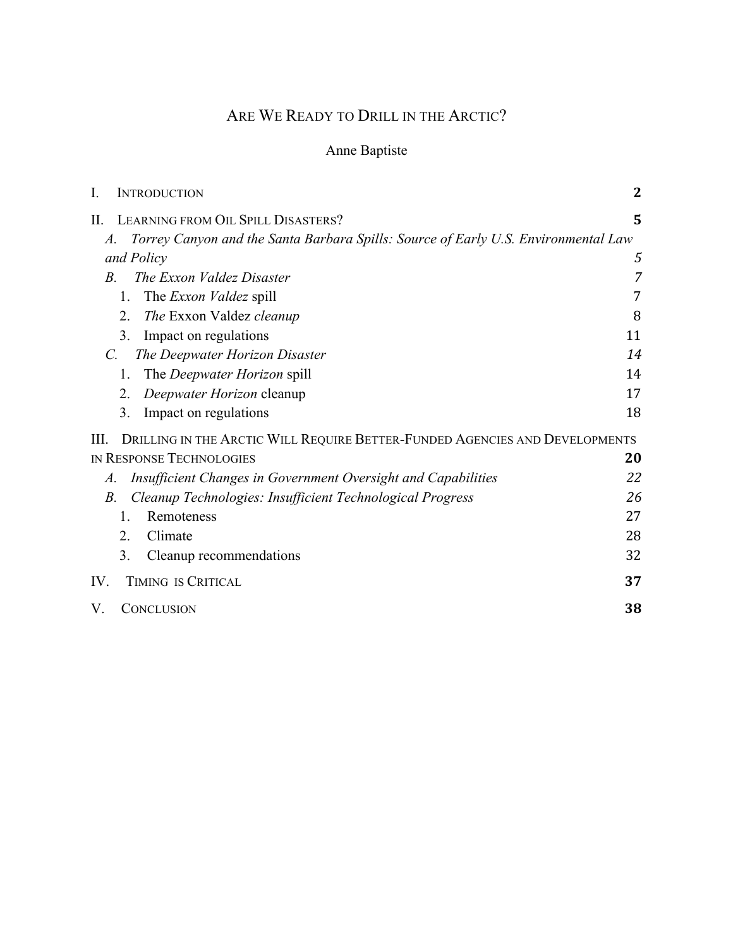# ARE WE READY TO DRILL IN THE ARCTIC?

# Anne Baptiste

| I.<br><b>INTRODUCTION</b>                                                                            | $\mathbf 2$ |
|------------------------------------------------------------------------------------------------------|-------------|
| LEARNING FROM OIL SPILL DISASTERS?<br>П.                                                             | 5           |
| Torrey Canyon and the Santa Barbara Spills: Source of Early U.S. Environmental Law<br>$\mathcal{A}.$ |             |
| and Policy                                                                                           | 5           |
| The Exxon Valdez Disaster<br>$B_{\cdot}$                                                             | 7           |
| The <i>Exxon Valdez</i> spill<br>1.                                                                  | 7           |
| 2.<br>The Exxon Valdez cleanup                                                                       | 8           |
| 3.<br>Impact on regulations                                                                          | 11          |
| The Deepwater Horizon Disaster<br>$\mathcal{C}$ .                                                    | 14          |
| The <i>Deepwater Horizon</i> spill<br>1.                                                             | 14          |
| 2.<br>Deepwater Horizon cleanup                                                                      | 17          |
| 3.<br>Impact on regulations                                                                          | 18          |
| DRILLING IN THE ARCTIC WILL REQUIRE BETTER-FUNDED AGENCIES AND DEVELOPMENTS<br>Ш.                    |             |
| <b>IN RESPONSE TECHNOLOGIES</b>                                                                      | 20          |
| Insufficient Changes in Government Oversight and Capabilities<br>A.                                  | 22          |
| Cleanup Technologies: Insufficient Technological Progress<br>В.                                      | 26          |
| 1.<br>Remoteness                                                                                     | 27          |
| Climate<br>2.                                                                                        | 28          |
| 3.<br>Cleanup recommendations                                                                        | 32          |
| TIMING IS CRITICAL<br>IV.                                                                            | 37          |
| V.<br><b>CONCLUSION</b>                                                                              | 38          |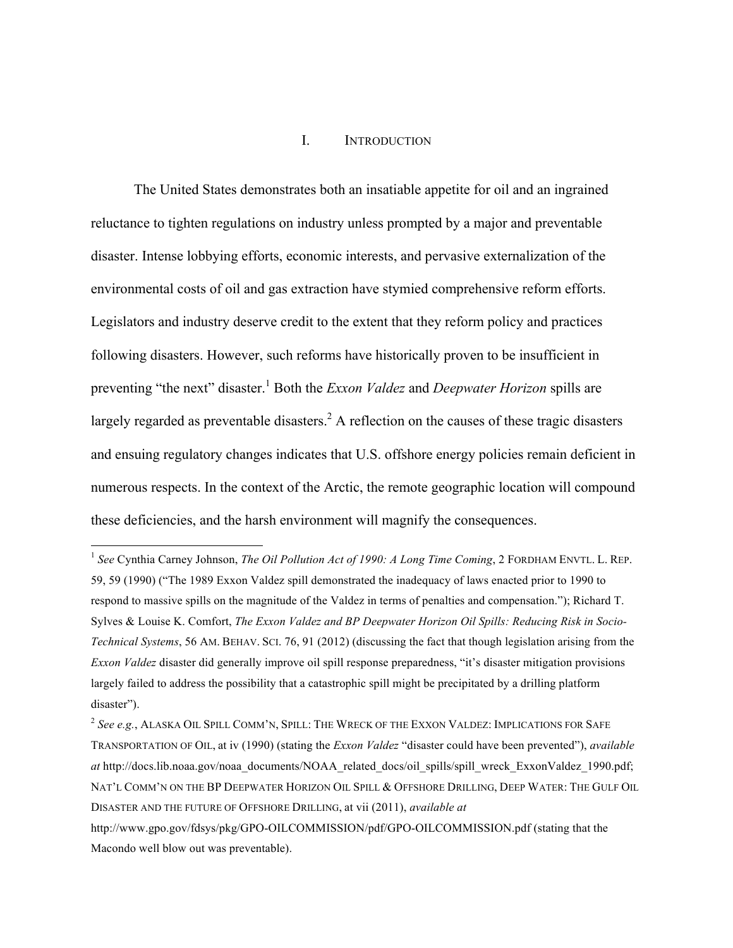#### I. INTRODUCTION

The United States demonstrates both an insatiable appetite for oil and an ingrained reluctance to tighten regulations on industry unless prompted by a major and preventable disaster. Intense lobbying efforts, economic interests, and pervasive externalization of the environmental costs of oil and gas extraction have stymied comprehensive reform efforts. Legislators and industry deserve credit to the extent that they reform policy and practices following disasters. However, such reforms have historically proven to be insufficient in preventing "the next" disaster.1 Both the *Exxon Valdez* and *Deepwater Horizon* spills are largely regarded as preventable disasters.<sup>2</sup> A reflection on the causes of these tragic disasters and ensuing regulatory changes indicates that U.S. offshore energy policies remain deficient in numerous respects. In the context of the Arctic, the remote geographic location will compound these deficiencies, and the harsh environment will magnify the consequences.

<sup>&</sup>lt;sup>1</sup> See Cynthia Carney Johnson, *The Oil Pollution Act of 1990: A Long Time Coming*, 2 FORDHAM ENVTL. L. REP. 59, 59 (1990) ("The 1989 Exxon Valdez spill demonstrated the inadequacy of laws enacted prior to 1990 to respond to massive spills on the magnitude of the Valdez in terms of penalties and compensation."); Richard T. Sylves & Louise K. Comfort, *The Exxon Valdez and BP Deepwater Horizon Oil Spills: Reducing Risk in Socio-Technical Systems*, 56 AM. BEHAV. SCI. 76, 91 (2012) (discussing the fact that though legislation arising from the *Exxon Valdez* disaster did generally improve oil spill response preparedness, "it's disaster mitigation provisions largely failed to address the possibility that a catastrophic spill might be precipitated by a drilling platform disaster").

<sup>2</sup> *See e.g.*, ALASKA OIL SPILL COMM'N, SPILL: THE WRECK OF THE EXXON VALDEZ: IMPLICATIONS FOR SAFE TRANSPORTATION OF OIL, at iv (1990) (stating the *Exxon Valdez* "disaster could have been prevented"), *available at* http://docs.lib.noaa.gov/noaa\_documents/NOAA\_related\_docs/oil\_spills/spill\_wreck\_ExxonValdez\_1990.pdf; NAT'L COMM'N ON THE BP DEEPWATER HORIZON OIL SPILL & OFFSHORE DRILLING, DEEP WATER: THE GULF OIL DISASTER AND THE FUTURE OF OFFSHORE DRILLING, at vii (2011), *available at*

http://www.gpo.gov/fdsys/pkg/GPO-OILCOMMISSION/pdf/GPO-OILCOMMISSION.pdf (stating that the Macondo well blow out was preventable).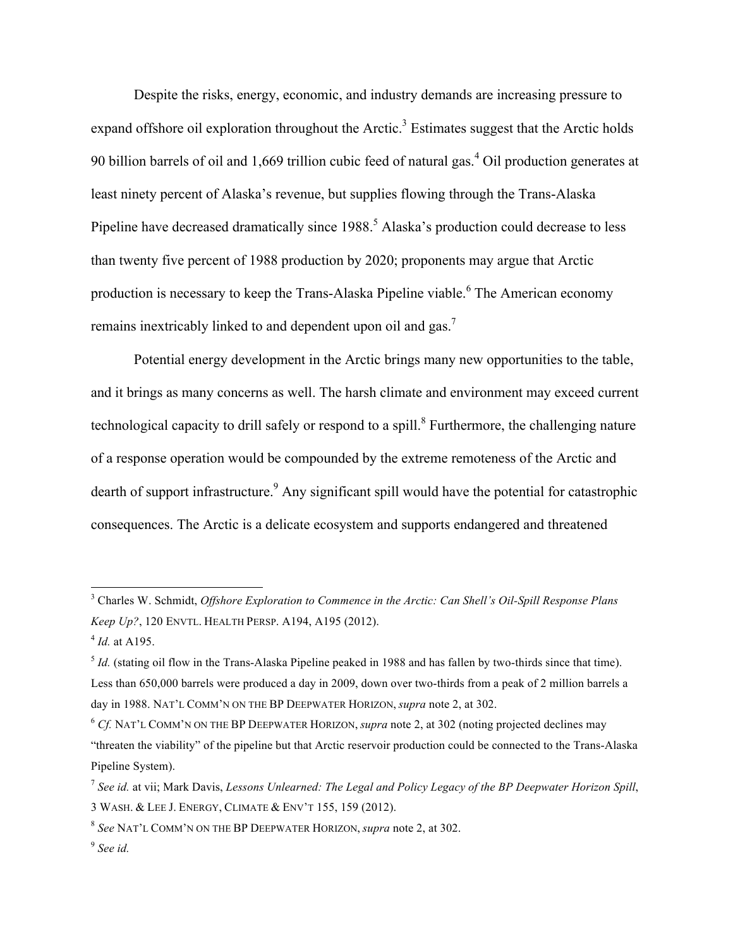Despite the risks, energy, economic, and industry demands are increasing pressure to expand offshore oil exploration throughout the Arctic.<sup>3</sup> Estimates suggest that the Arctic holds 90 billion barrels of oil and 1,669 trillion cubic feed of natural gas.<sup>4</sup> Oil production generates at least ninety percent of Alaska's revenue, but supplies flowing through the Trans-Alaska Pipeline have decreased dramatically since 1988.<sup>5</sup> Alaska's production could decrease to less than twenty five percent of 1988 production by 2020; proponents may argue that Arctic production is necessary to keep the Trans-Alaska Pipeline viable.<sup>6</sup> The American economy remains inextricably linked to and dependent upon oil and gas.7

Potential energy development in the Arctic brings many new opportunities to the table, and it brings as many concerns as well. The harsh climate and environment may exceed current technological capacity to drill safely or respond to a spill.<sup>8</sup> Furthermore, the challenging nature of a response operation would be compounded by the extreme remoteness of the Arctic and dearth of support infrastructure.<sup>9</sup> Any significant spill would have the potential for catastrophic consequences. The Arctic is a delicate ecosystem and supports endangered and threatened

 <sup>3</sup> Charles W. Schmidt, *Offshore Exploration to Commence in the Arctic: Can Shell's Oil-Spill Response Plans Keep Up?*, 120 ENVTL. HEALTH PERSP. A194, A195 (2012).

<sup>4</sup> *Id.* at A195.

 $<sup>5</sup>$  *Id.* (stating oil flow in the Trans-Alaska Pipeline peaked in 1988 and has fallen by two-thirds since that time).</sup> Less than 650,000 barrels were produced a day in 2009, down over two-thirds from a peak of 2 million barrels a day in 1988. NAT'L COMM'N ON THE BP DEEPWATER HORIZON, *supra* note 2, at 302.

<sup>6</sup> *Cf.* NAT'L COMM'N ON THE BP DEEPWATER HORIZON, *supra* note 2, at 302 (noting projected declines may "threaten the viability" of the pipeline but that Arctic reservoir production could be connected to the Trans-Alaska Pipeline System).

<sup>7</sup> *See id.* at vii; Mark Davis, *Lessons Unlearned: The Legal and Policy Legacy of the BP Deepwater Horizon Spill*, 3 WASH. & LEE J. ENERGY, CLIMATE & ENV'T 155, 159 (2012).

<sup>8</sup> *See* NAT'L COMM'N ON THE BP DEEPWATER HORIZON, *supra* note 2, at 302.

<sup>9</sup> *See id.*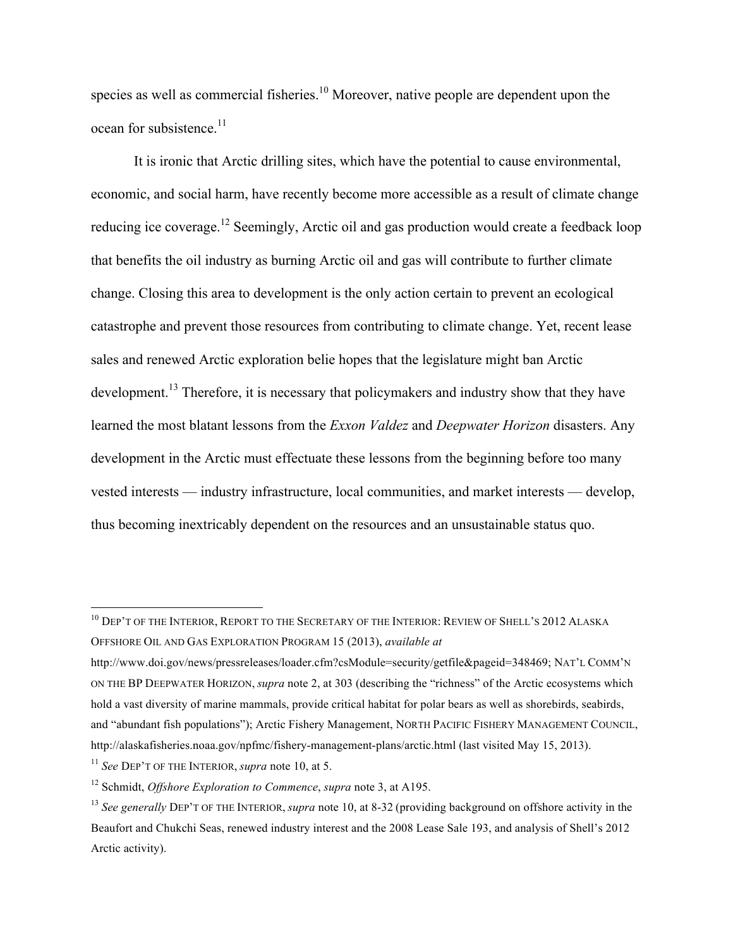species as well as commercial fisheries.<sup>10</sup> Moreover, native people are dependent upon the ocean for subsistence. $11$ 

It is ironic that Arctic drilling sites, which have the potential to cause environmental, economic, and social harm, have recently become more accessible as a result of climate change reducing ice coverage.<sup>12</sup> Seemingly, Arctic oil and gas production would create a feedback loop that benefits the oil industry as burning Arctic oil and gas will contribute to further climate change. Closing this area to development is the only action certain to prevent an ecological catastrophe and prevent those resources from contributing to climate change. Yet, recent lease sales and renewed Arctic exploration belie hopes that the legislature might ban Arctic development.<sup>13</sup> Therefore, it is necessary that policymakers and industry show that they have learned the most blatant lessons from the *Exxon Valdez* and *Deepwater Horizon* disasters. Any development in the Arctic must effectuate these lessons from the beginning before too many vested interests — industry infrastructure, local communities, and market interests — develop, thus becoming inextricably dependent on the resources and an unsustainable status quo.

<sup>&</sup>lt;sup>10</sup> DEP'T OF THE INTERIOR, REPORT TO THE SECRETARY OF THE INTERIOR: REVIEW OF SHELL'S 2012 ALASKA OFFSHORE OIL AND GAS EXPLORATION PROGRAM 15 (2013), *available at*

http://www.doi.gov/news/pressreleases/loader.cfm?csModule=security/getfile&pageid=348469; NAT'L COMM'N ON THE BP DEEPWATER HORIZON, *supra* note 2, at 303 (describing the "richness" of the Arctic ecosystems which hold a vast diversity of marine mammals, provide critical habitat for polar bears as well as shorebirds, seabirds, and "abundant fish populations"); Arctic Fishery Management, NORTH PACIFIC FISHERY MANAGEMENT COUNCIL, http://alaskafisheries.noaa.gov/npfmc/fishery-management-plans/arctic.html (last visited May 15, 2013).

<sup>11</sup> *See* DEP'T OF THE INTERIOR, *supra* note 10, at 5.

<sup>12</sup> Schmidt, *Offshore Exploration to Commence*, *supra* note 3, at A195.

<sup>13</sup> *See generally* DEP'T OF THE INTERIOR, *supra* note 10, at 8-32 (providing background on offshore activity in the Beaufort and Chukchi Seas, renewed industry interest and the 2008 Lease Sale 193, and analysis of Shell's 2012 Arctic activity).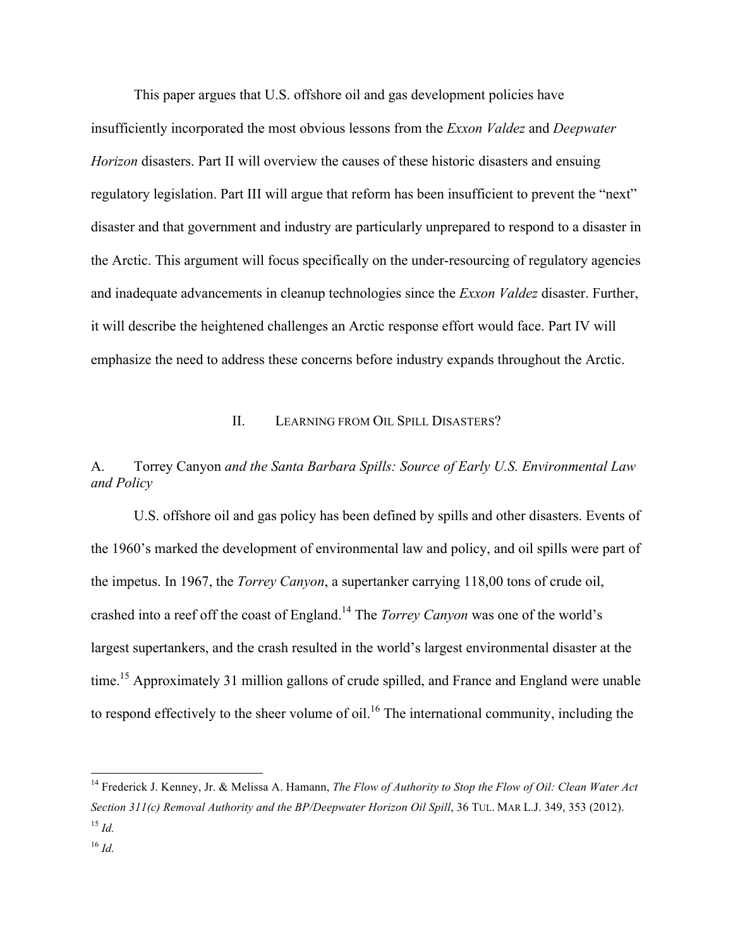This paper argues that U.S. offshore oil and gas development policies have insufficiently incorporated the most obvious lessons from the *Exxon Valdez* and *Deepwater Horizon* disasters. Part II will overview the causes of these historic disasters and ensuing regulatory legislation. Part III will argue that reform has been insufficient to prevent the "next" disaster and that government and industry are particularly unprepared to respond to a disaster in the Arctic. This argument will focus specifically on the under-resourcing of regulatory agencies and inadequate advancements in cleanup technologies since the *Exxon Valdez* disaster. Further, it will describe the heightened challenges an Arctic response effort would face. Part IV will emphasize the need to address these concerns before industry expands throughout the Arctic.

## II. LEARNING FROM OIL SPILL DISASTERS?

## A. Torrey Canyon *and the Santa Barbara Spills: Source of Early U.S. Environmental Law and Policy*

U.S. offshore oil and gas policy has been defined by spills and other disasters. Events of the 1960's marked the development of environmental law and policy, and oil spills were part of the impetus. In 1967, the *Torrey Canyon*, a supertanker carrying 118,00 tons of crude oil, crashed into a reef off the coast of England.14 The *Torrey Canyon* was one of the world's largest supertankers, and the crash resulted in the world's largest environmental disaster at the time.<sup>15</sup> Approximately 31 million gallons of crude spilled, and France and England were unable to respond effectively to the sheer volume of oil.<sup>16</sup> The international community, including the

 <sup>14</sup> Frederick J. Kenney, Jr. & Melissa A. Hamann, *The Flow of Authority to Stop the Flow of Oil: Clean Water Act Section 311(c) Removal Authority and the BP/Deepwater Horizon Oil Spill*, 36 TUL. MAR L.J. 349, 353 (2012).  $^{15}$  *Id.* 

<sup>16</sup> *Id.*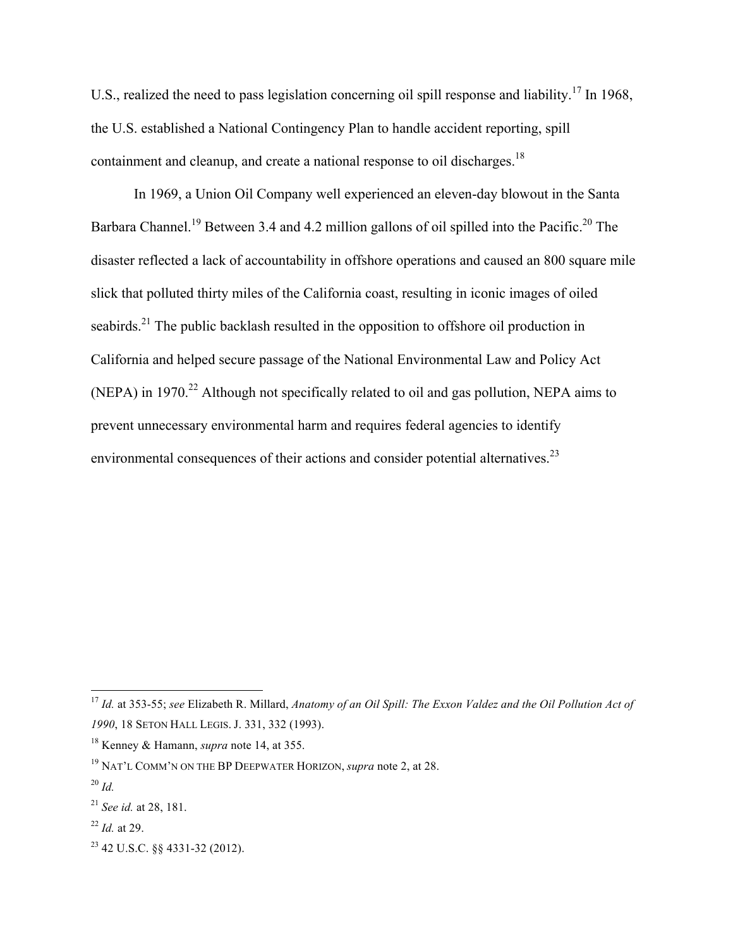U.S., realized the need to pass legislation concerning oil spill response and liability.<sup>17</sup> In 1968, the U.S. established a National Contingency Plan to handle accident reporting, spill containment and cleanup, and create a national response to oil discharges.<sup>18</sup>

In 1969, a Union Oil Company well experienced an eleven-day blowout in the Santa Barbara Channel.<sup>19</sup> Between 3.4 and 4.2 million gallons of oil spilled into the Pacific.<sup>20</sup> The disaster reflected a lack of accountability in offshore operations and caused an 800 square mile slick that polluted thirty miles of the California coast, resulting in iconic images of oiled seabirds.<sup>21</sup> The public backlash resulted in the opposition to offshore oil production in California and helped secure passage of the National Environmental Law and Policy Act (NEPA) in 1970.<sup>22</sup> Although not specifically related to oil and gas pollution, NEPA aims to prevent unnecessary environmental harm and requires federal agencies to identify environmental consequences of their actions and consider potential alternatives.<sup>23</sup>

 <sup>17</sup> *Id.* at 353-55; *see* Elizabeth R. Millard, *Anatomy of an Oil Spill: The Exxon Valdez and the Oil Pollution Act of 1990*, 18 SETON HALL LEGIS. J. 331, 332 (1993).

<sup>18</sup> Kenney & Hamann, *supra* note 14, at 355.

<sup>19</sup> NAT'L COMM'N ON THE BP DEEPWATER HORIZON, *supra* note 2, at 28.

<sup>20</sup> *Id.*

<sup>21</sup> *See id.* at 28, 181.

<sup>22</sup> *Id.* at 29.

<sup>23</sup> 42 U.S.C. §§ 4331-32 (2012).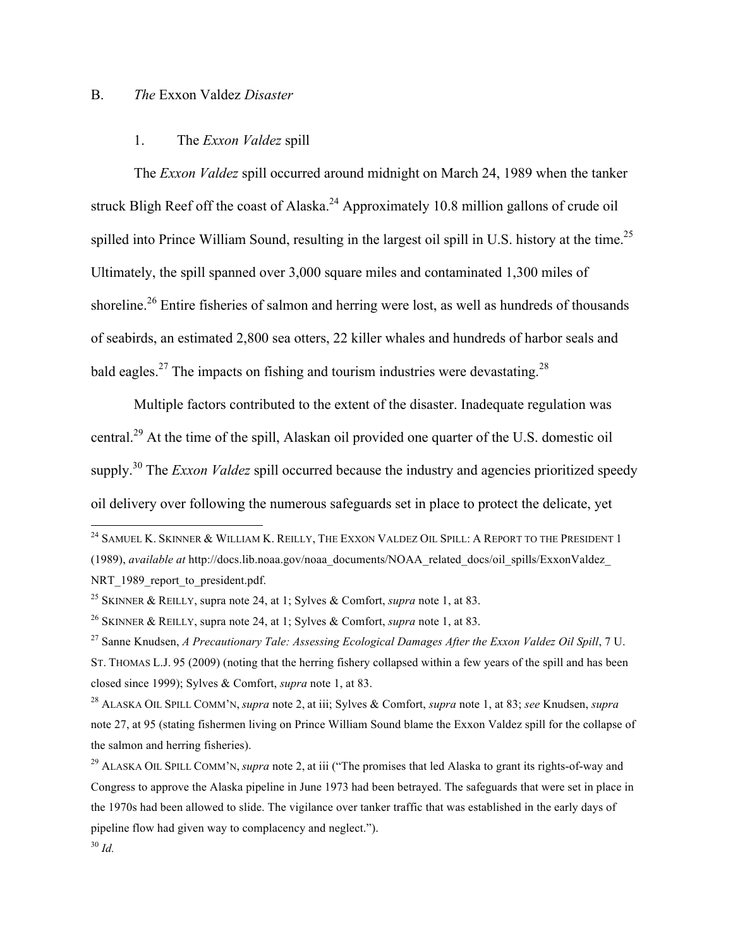#### B. *The* Exxon Valdez *Disaster*

## 1. The *Exxon Valdez* spill

The *Exxon Valdez* spill occurred around midnight on March 24, 1989 when the tanker struck Bligh Reef off the coast of Alaska.<sup>24</sup> Approximately 10.8 million gallons of crude oil spilled into Prince William Sound, resulting in the largest oil spill in U.S. history at the time.<sup>25</sup> Ultimately, the spill spanned over 3,000 square miles and contaminated 1,300 miles of shoreline.<sup>26</sup> Entire fisheries of salmon and herring were lost, as well as hundreds of thousands of seabirds, an estimated 2,800 sea otters, 22 killer whales and hundreds of harbor seals and bald eagles.<sup>27</sup> The impacts on fishing and tourism industries were devastating.<sup>28</sup>

Multiple factors contributed to the extent of the disaster. Inadequate regulation was central.<sup>29</sup> At the time of the spill, Alaskan oil provided one quarter of the U.S. domestic oil supply.<sup>30</sup> The *Exxon Valdez* spill occurred because the industry and agencies prioritized speedy oil delivery over following the numerous safeguards set in place to protect the delicate, yet

<sup>&</sup>lt;sup>24</sup> SAMUEL K. SKINNER & WILLIAM K. REILLY, THE EXXON VALDEZ OIL SPILL: A REPORT TO THE PRESIDENT 1 (1989), *available at* http://docs.lib.noaa.gov/noaa\_documents/NOAA\_related\_docs/oil\_spills/ExxonValdez\_ NRT 1989 report to president.pdf.

<sup>25</sup> SKINNER & REILLY, supra note 24, at 1; Sylves & Comfort, *supra* note 1, at 83.

<sup>26</sup> SKINNER & REILLY, supra note 24, at 1; Sylves & Comfort, *supra* note 1, at 83.

<sup>27</sup> Sanne Knudsen, *A Precautionary Tale: Assessing Ecological Damages After the Exxon Valdez Oil Spill*, 7 U. ST. THOMAS L.J. 95 (2009) (noting that the herring fishery collapsed within a few years of the spill and has been closed since 1999); Sylves & Comfort, *supra* note 1, at 83.

<sup>28</sup> ALASKA OIL SPILL COMM'N, *supra* note 2, at iii; Sylves & Comfort, *supra* note 1, at 83; *see* Knudsen, *supra* note 27, at 95 (stating fishermen living on Prince William Sound blame the Exxon Valdez spill for the collapse of the salmon and herring fisheries).

<sup>29</sup> ALASKA OIL SPILL COMM'N, *supra* note 2, at iii ("The promises that led Alaska to grant its rights-of-way and Congress to approve the Alaska pipeline in June 1973 had been betrayed. The safeguards that were set in place in the 1970s had been allowed to slide. The vigilance over tanker traffic that was established in the early days of pipeline flow had given way to complacency and neglect.").

<sup>30</sup> *Id.*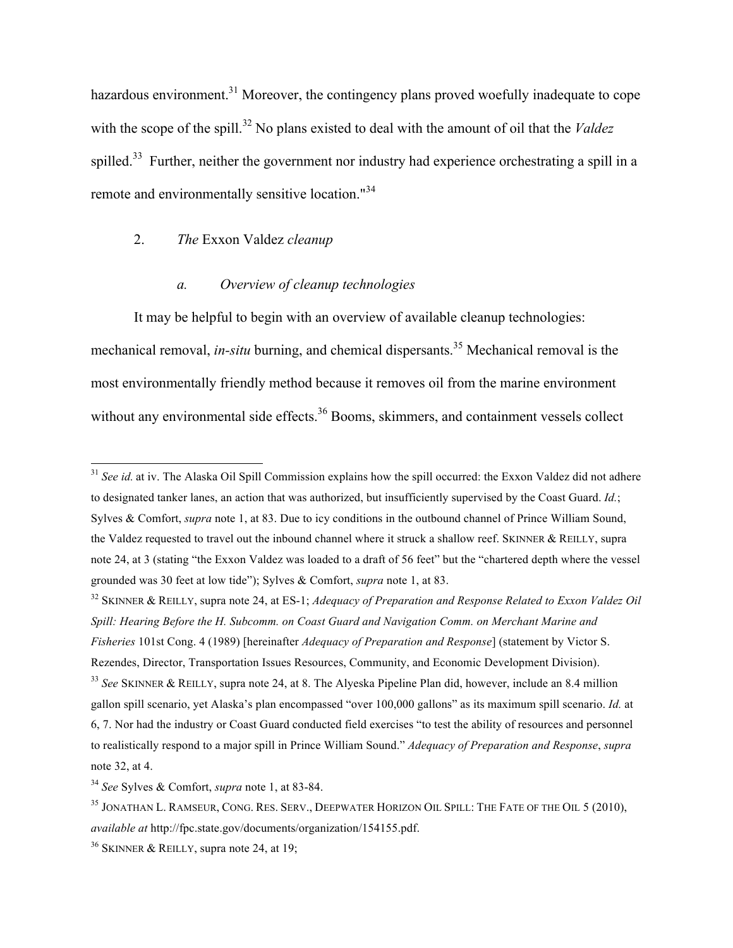hazardous environment.<sup>31</sup> Moreover, the contingency plans proved woefully inadequate to cope with the scope of the spill.<sup>32</sup> No plans existed to deal with the amount of oil that the *Valdez* spilled.<sup>33</sup> Further, neither the government nor industry had experience orchestrating a spill in a remote and environmentally sensitive location."<sup>34</sup>

## 2. *The* Exxon Valdez *cleanup*

### *a. Overview of cleanup technologies*

It may be helpful to begin with an overview of available cleanup technologies: mechanical removal, *in-situ* burning, and chemical dispersants.<sup>35</sup> Mechanical removal is the most environmentally friendly method because it removes oil from the marine environment without any environmental side effects.<sup>36</sup> Booms, skimmers, and containment vessels collect

<sup>33</sup> *See* SKINNER & REILLY, supra note 24, at 8. The Alyeska Pipeline Plan did, however, include an 8.4 million gallon spill scenario, yet Alaska's plan encompassed "over 100,000 gallons" as its maximum spill scenario. *Id.* at 6, 7. Nor had the industry or Coast Guard conducted field exercises "to test the ability of resources and personnel to realistically respond to a major spill in Prince William Sound." *Adequacy of Preparation and Response*, *supra* note 32, at 4.

<sup>&</sup>lt;sup>31</sup> *See id.* at iv. The Alaska Oil Spill Commission explains how the spill occurred: the Exxon Valdez did not adhere to designated tanker lanes, an action that was authorized, but insufficiently supervised by the Coast Guard. *Id.*; Sylves & Comfort, *supra* note 1, at 83. Due to icy conditions in the outbound channel of Prince William Sound, the Valdez requested to travel out the inbound channel where it struck a shallow reef. SKINNER & REILLY, supra note 24, at 3 (stating "the Exxon Valdez was loaded to a draft of 56 feet" but the "chartered depth where the vessel grounded was 30 feet at low tide"); Sylves & Comfort, *supra* note 1, at 83.

<sup>32</sup> SKINNER & REILLY, supra note 24, at ES-1; *Adequacy of Preparation and Response Related to Exxon Valdez Oil Spill: Hearing Before the H. Subcomm. on Coast Guard and Navigation Comm. on Merchant Marine and Fisheries* 101st Cong. 4 (1989) [hereinafter *Adequacy of Preparation and Response*] (statement by Victor S. Rezendes, Director, Transportation Issues Resources, Community, and Economic Development Division).

<sup>34</sup> *See* Sylves & Comfort, *supra* note 1, at 83-84.

<sup>&</sup>lt;sup>35</sup> JONATHAN L. RAMSEUR, CONG. RES. SERV., DEEPWATER HORIZON OIL SPILL: THE FATE OF THE OIL 5 (2010), *available at* http://fpc.state.gov/documents/organization/154155.pdf.

 $36$  SKINNER & REILLY, supra note 24, at 19;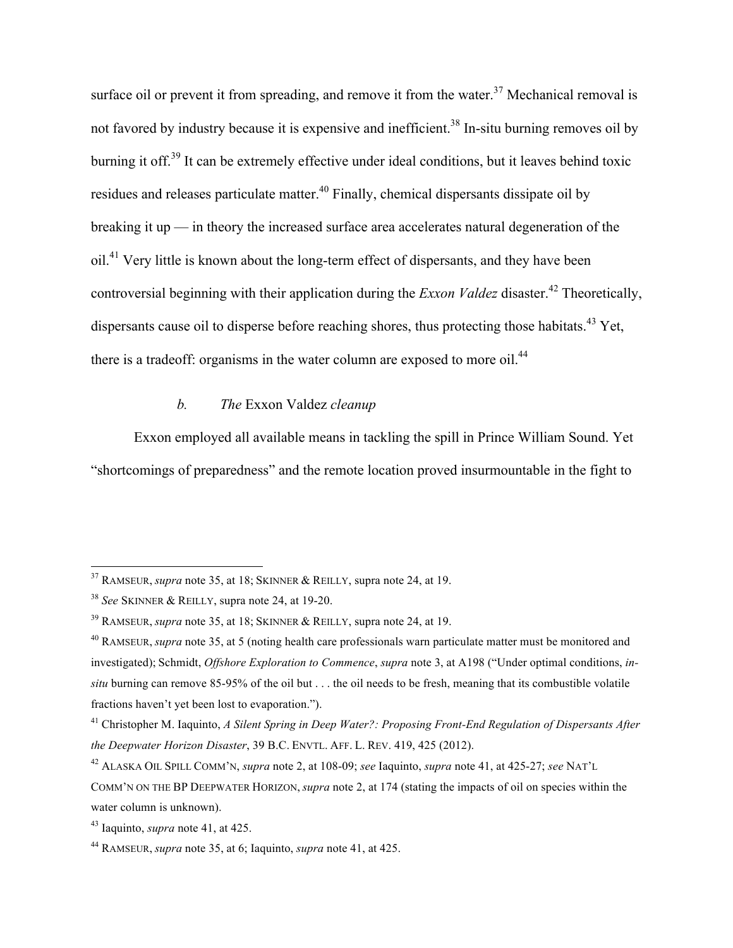surface oil or prevent it from spreading, and remove it from the water.<sup>37</sup> Mechanical removal is not favored by industry because it is expensive and inefficient.<sup>38</sup> In-situ burning removes oil by burning it off.<sup>39</sup> It can be extremely effective under ideal conditions, but it leaves behind toxic residues and releases particulate matter.<sup>40</sup> Finally, chemical dispersants dissipate oil by breaking it up — in theory the increased surface area accelerates natural degeneration of the oil.41 Very little is known about the long-term effect of dispersants, and they have been controversial beginning with their application during the *Exxon Valdez* disaster.<sup>42</sup> Theoretically, dispersants cause oil to disperse before reaching shores, thus protecting those habitats.<sup>43</sup> Yet, there is a tradeoff: organisms in the water column are exposed to more oil.<sup>44</sup>

## *b. The* Exxon Valdez *cleanup*

Exxon employed all available means in tackling the spill in Prince William Sound. Yet "shortcomings of preparedness" and the remote location proved insurmountable in the fight to

 <sup>37</sup> RAMSEUR, *supra* note 35, at 18; SKINNER & REILLY, supra note 24, at 19.

<sup>38</sup> *See* SKINNER & REILLY, supra note 24, at 19-20.

<sup>39</sup> RAMSEUR, *supra* note 35, at 18; SKINNER & REILLY, supra note 24, at 19.

<sup>40</sup> RAMSEUR, *supra* note 35, at 5 (noting health care professionals warn particulate matter must be monitored and investigated); Schmidt, *Offshore Exploration to Commence*, *supra* note 3, at A198 ("Under optimal conditions, *insitu* burning can remove 85-95% of the oil but . . . the oil needs to be fresh, meaning that its combustible volatile fractions haven't yet been lost to evaporation.").

<sup>41</sup> Christopher M. Iaquinto, *A Silent Spring in Deep Water?: Proposing Front-End Regulation of Dispersants After the Deepwater Horizon Disaster*, 39 B.C. ENVTL. AFF. L. REV. 419, 425 (2012).

<sup>42</sup> ALASKA OIL SPILL COMM'N, *supra* note 2, at 108-09; *see* Iaquinto, *supra* note 41, at 425-27; *see* NAT'L

COMM'N ON THE BP DEEPWATER HORIZON, *supra* note 2, at 174 (stating the impacts of oil on species within the water column is unknown).

<sup>43</sup> Iaquinto, *supra* note 41, at 425.

<sup>44</sup> RAMSEUR, *supra* note 35, at 6; Iaquinto, *supra* note 41, at 425.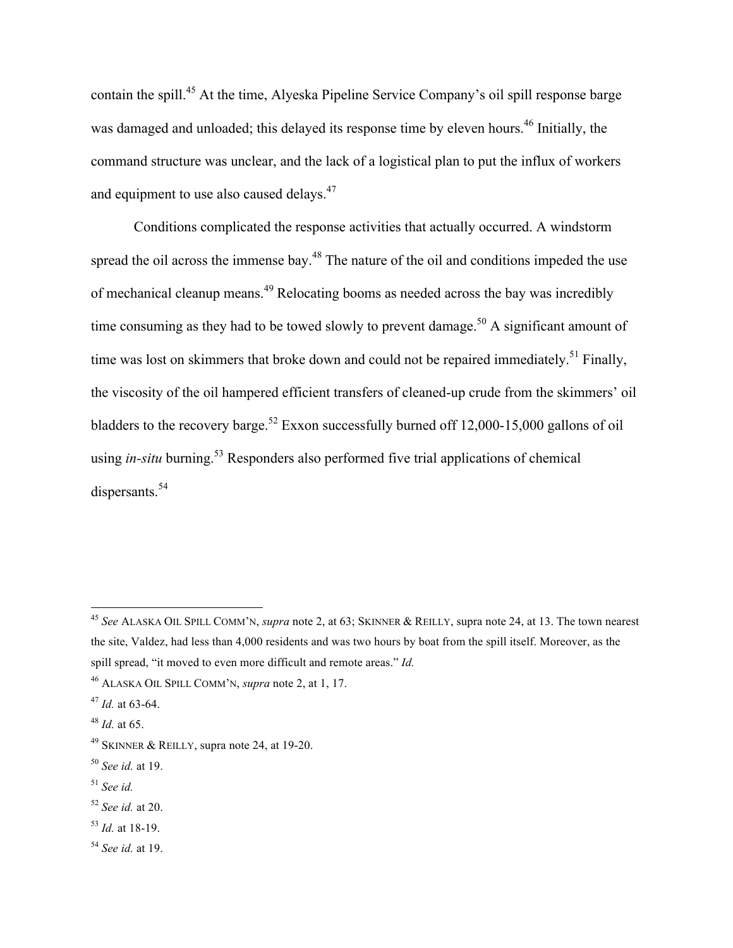contain the spill.<sup>45</sup> At the time, Alyeska Pipeline Service Company's oil spill response barge was damaged and unloaded; this delayed its response time by eleven hours.<sup>46</sup> Initially, the command structure was unclear, and the lack of a logistical plan to put the influx of workers and equipment to use also caused delays.<sup>47</sup>

Conditions complicated the response activities that actually occurred. A windstorm spread the oil across the immense bay.<sup>48</sup> The nature of the oil and conditions impeded the use of mechanical cleanup means.<sup>49</sup> Relocating booms as needed across the bay was incredibly time consuming as they had to be towed slowly to prevent damage.<sup>50</sup> A significant amount of time was lost on skimmers that broke down and could not be repaired immediately.<sup>51</sup> Finally, the viscosity of the oil hampered efficient transfers of cleaned-up crude from the skimmers' oil bladders to the recovery barge.<sup>52</sup> Exxon successfully burned off 12,000-15,000 gallons of oil using *in-situ* burning.<sup>53</sup> Responders also performed five trial applications of chemical dispersants.<sup>54</sup>

 <sup>45</sup> *See* ALASKA OIL SPILL COMM'N, *supra* note 2, at 63; SKINNER & REILLY, supra note 24, at 13. The town nearest the site, Valdez, had less than 4,000 residents and was two hours by boat from the spill itself. Moreover, as the spill spread, "it moved to even more difficult and remote areas." *Id.*

<sup>46</sup> ALASKA OIL SPILL COMM'N, *supra* note 2, at 1, 17.

<sup>47</sup> *Id.* at 63-64.

<sup>48</sup> *Id.* at 65.

<sup>&</sup>lt;sup>49</sup> SKINNER & REILLY, supra note 24, at 19-20.

<sup>50</sup> *See id.* at 19.

<sup>51</sup> *See id.* 

<sup>52</sup> *See id.* at 20.

<sup>53</sup> *Id.* at 18-19.

<sup>54</sup> *See id.* at 19.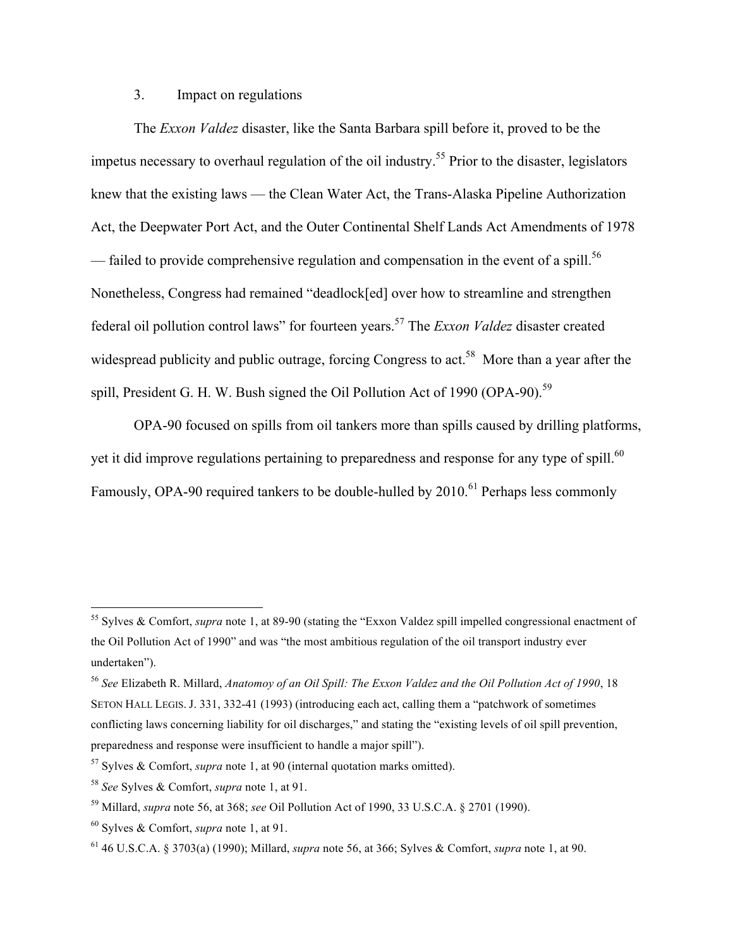## 3. Impact on regulations

The *Exxon Valdez* disaster, like the Santa Barbara spill before it, proved to be the impetus necessary to overhaul regulation of the oil industry.<sup>55</sup> Prior to the disaster, legislators knew that the existing laws — the Clean Water Act, the Trans-Alaska Pipeline Authorization Act, the Deepwater Port Act, and the Outer Continental Shelf Lands Act Amendments of 1978 — failed to provide comprehensive regulation and compensation in the event of a spill.<sup>56</sup> Nonetheless, Congress had remained "deadlock[ed] over how to streamline and strengthen federal oil pollution control laws" for fourteen years.<sup>57</sup> The *Exxon Valdez* disaster created widespread publicity and public outrage, forcing Congress to act.<sup>58</sup> More than a year after the spill, President G. H. W. Bush signed the Oil Pollution Act of 1990 (OPA-90).<sup>59</sup>

OPA-90 focused on spills from oil tankers more than spills caused by drilling platforms, yet it did improve regulations pertaining to preparedness and response for any type of spill.<sup>60</sup> Famously, OPA-90 required tankers to be double-hulled by 2010.<sup>61</sup> Perhaps less commonly

 <sup>55</sup> Sylves & Comfort, *supra* note 1, at 89-90 (stating the "Exxon Valdez spill impelled congressional enactment of the Oil Pollution Act of 1990" and was "the most ambitious regulation of the oil transport industry ever undertaken").

<sup>56</sup> *See* Elizabeth R. Millard, *Anatomoy of an Oil Spill: The Exxon Valdez and the Oil Pollution Act of 1990*, 18 SETON HALL LEGIS. J. 331, 332-41 (1993) (introducing each act, calling them a "patchwork of sometimes conflicting laws concerning liability for oil discharges," and stating the "existing levels of oil spill prevention, preparedness and response were insufficient to handle a major spill").

<sup>57</sup> Sylves & Comfort, *supra* note 1, at 90 (internal quotation marks omitted).

<sup>58</sup> *See* Sylves & Comfort, *supra* note 1, at 91.

<sup>59</sup> Millard, *supra* note 56, at 368; *see* Oil Pollution Act of 1990, 33 U.S.C.A. § 2701 (1990).

<sup>60</sup> Sylves & Comfort, *supra* note 1, at 91.

<sup>61</sup> 46 U.S.C.A. § 3703(a) (1990); Millard, *supra* note 56, at 366; Sylves & Comfort, *supra* note 1, at 90.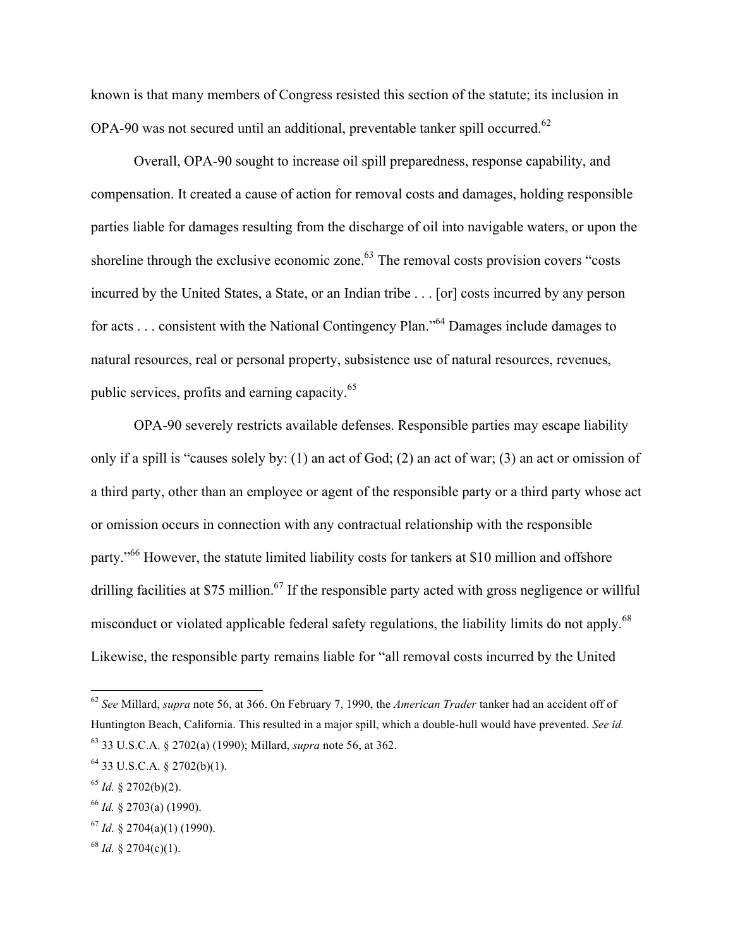known is that many members of Congress resisted this section of the statute; its inclusion in OPA-90 was not secured until an additional, preventable tanker spill occurred.<sup>62</sup>

Overall, OPA-90 sought to increase oil spill preparedness, response capability, and compensation. It created a cause of action for removal costs and damages, holding responsible parties liable for damages resulting from the discharge of oil into navigable waters, or upon the shoreline through the exclusive economic zone.<sup>63</sup> The removal costs provision covers "costs" incurred by the United States, a State, or an Indian tribe . . . [or] costs incurred by any person for acts . . . consistent with the National Contingency Plan."<sup>64</sup> Damages include damages to natural resources, real or personal property, subsistence use of natural resources, revenues, public services, profits and earning capacity.<sup>65</sup>

OPA-90 severely restricts available defenses. Responsible parties may escape liability only if a spill is "causes solely by: (1) an act of God; (2) an act of war; (3) an act or omission of a third party, other than an employee or agent of the responsible party or a third party whose act or omission occurs in connection with any contractual relationship with the responsible party."<sup>66</sup> However, the statute limited liability costs for tankers at \$10 million and offshore drilling facilities at \$75 million.<sup>67</sup> If the responsible party acted with gross negligence or willful misconduct or violated applicable federal safety regulations, the liability limits do not apply.<sup>68</sup> Likewise, the responsible party remains liable for "all removal costs incurred by the United

 <sup>62</sup> *See* Millard, *supra* note 56, at 366. On February 7, 1990, the *American Trader* tanker had an accident off of Huntington Beach, California. This resulted in a major spill, which a double-hull would have prevented. *See id.* <sup>63</sup> 33 U.S.C.A. § 2702(a) (1990); Millard, *supra* note 56, at 362.

 $64$  33 U.S.C.A. § 2702(b)(1).

<sup>65</sup> *Id.* § 2702(b)(2).

<sup>66</sup> *Id.* § 2703(a) (1990).

 $^{67}$  *Id.* § 2704(a)(1) (1990).

 $68$  *Id.* § 2704(c)(1).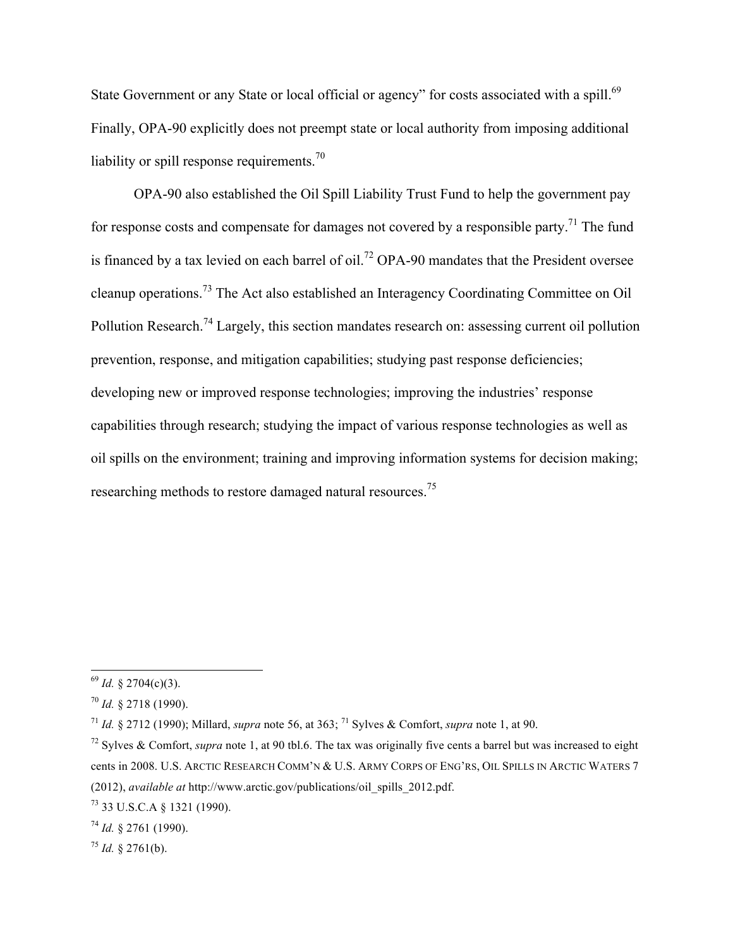State Government or any State or local official or agency" for costs associated with a spill.<sup>69</sup> Finally, OPA-90 explicitly does not preempt state or local authority from imposing additional liability or spill response requirements.<sup>70</sup>

OPA-90 also established the Oil Spill Liability Trust Fund to help the government pay for response costs and compensate for damages not covered by a responsible party.<sup>71</sup> The fund is financed by a tax levied on each barrel of oil.<sup>72</sup> OPA-90 mandates that the President oversee cleanup operations.<sup>73</sup> The Act also established an Interagency Coordinating Committee on Oil Pollution Research.<sup>74</sup> Largely, this section mandates research on: assessing current oil pollution prevention, response, and mitigation capabilities; studying past response deficiencies; developing new or improved response technologies; improving the industries' response capabilities through research; studying the impact of various response technologies as well as oil spills on the environment; training and improving information systems for decision making; researching methods to restore damaged natural resources.<sup>75</sup>

 <sup>69</sup> *Id.* § 2704(c)(3).

<sup>70</sup> *Id.* § 2718 (1990).

<sup>71</sup> *Id.* § 2712 (1990); Millard, *supra* note 56, at 363; <sup>71</sup> Sylves & Comfort, *supra* note 1, at 90.

<sup>72</sup> Sylves & Comfort, *supra* note 1, at 90 tbl.6. The tax was originally five cents a barrel but was increased to eight cents in 2008. U.S. ARCTIC RESEARCH COMM'N & U.S. ARMY CORPS OF ENG'RS, OIL SPILLS IN ARCTIC WATERS 7 (2012), *available at* http://www.arctic.gov/publications/oil\_spills\_2012.pdf.

<sup>73</sup> 33 U.S.C.A § 1321 (1990).

<sup>74</sup> *Id.* § 2761 (1990).

<sup>75</sup> *Id.* § 2761(b).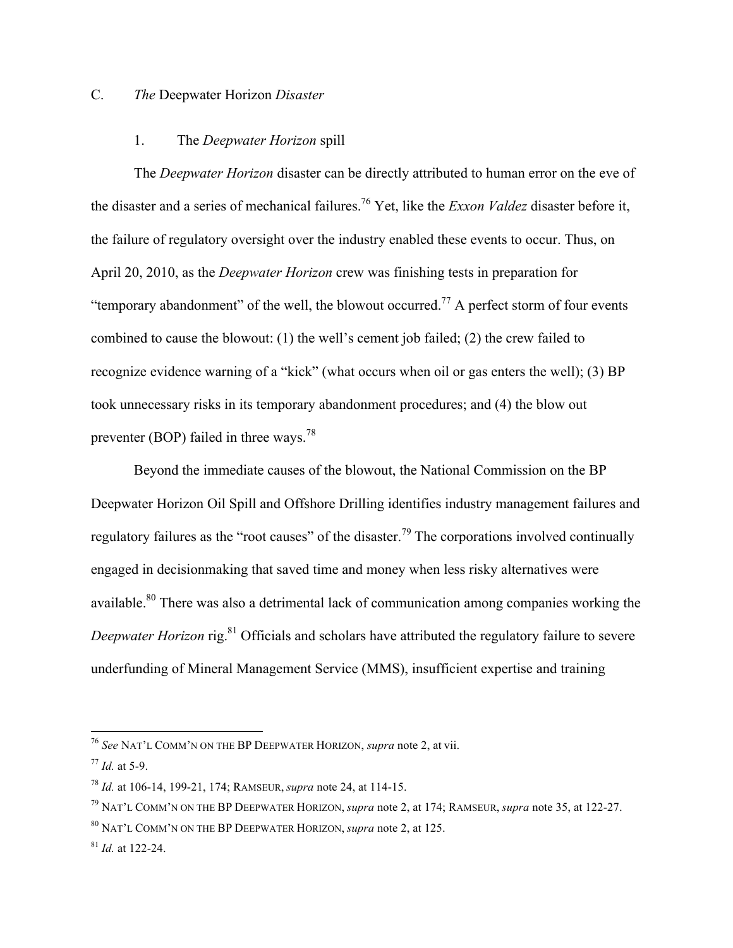## C. *The* Deepwater Horizon *Disaster*

#### 1. The *Deepwater Horizon* spill

The *Deepwater Horizon* disaster can be directly attributed to human error on the eve of the disaster and a series of mechanical failures.76 Yet, like the *Exxon Valdez* disaster before it, the failure of regulatory oversight over the industry enabled these events to occur. Thus, on April 20, 2010, as the *Deepwater Horizon* crew was finishing tests in preparation for "temporary abandonment" of the well, the blowout occurred.<sup>77</sup> A perfect storm of four events combined to cause the blowout: (1) the well's cement job failed; (2) the crew failed to recognize evidence warning of a "kick" (what occurs when oil or gas enters the well); (3) BP took unnecessary risks in its temporary abandonment procedures; and (4) the blow out preventer (BOP) failed in three ways.<sup>78</sup>

Beyond the immediate causes of the blowout, the National Commission on the BP Deepwater Horizon Oil Spill and Offshore Drilling identifies industry management failures and regulatory failures as the "root causes" of the disaster.<sup>79</sup> The corporations involved continually engaged in decisionmaking that saved time and money when less risky alternatives were available.<sup>80</sup> There was also a detrimental lack of communication among companies working the *Deepwater Horizon* rig.<sup>81</sup> Officials and scholars have attributed the regulatory failure to severe underfunding of Mineral Management Service (MMS), insufficient expertise and training

 <sup>76</sup> *See* NAT'L COMM'N ON THE BP DEEPWATER HORIZON, *supra* note 2, at vii.

<sup>77</sup> *Id.* at 5-9.

<sup>78</sup> *Id.* at 106-14, 199-21, 174; RAMSEUR, *supra* note 24, at 114-15.

<sup>79</sup> NAT'L COMM'N ON THE BP DEEPWATER HORIZON, *supra* note 2, at 174; RAMSEUR, *supra* note 35, at 122-27.

<sup>80</sup> NAT'L COMM'N ON THE BP DEEPWATER HORIZON, *supra* note 2, at 125.

<sup>81</sup> *Id.* at 122-24.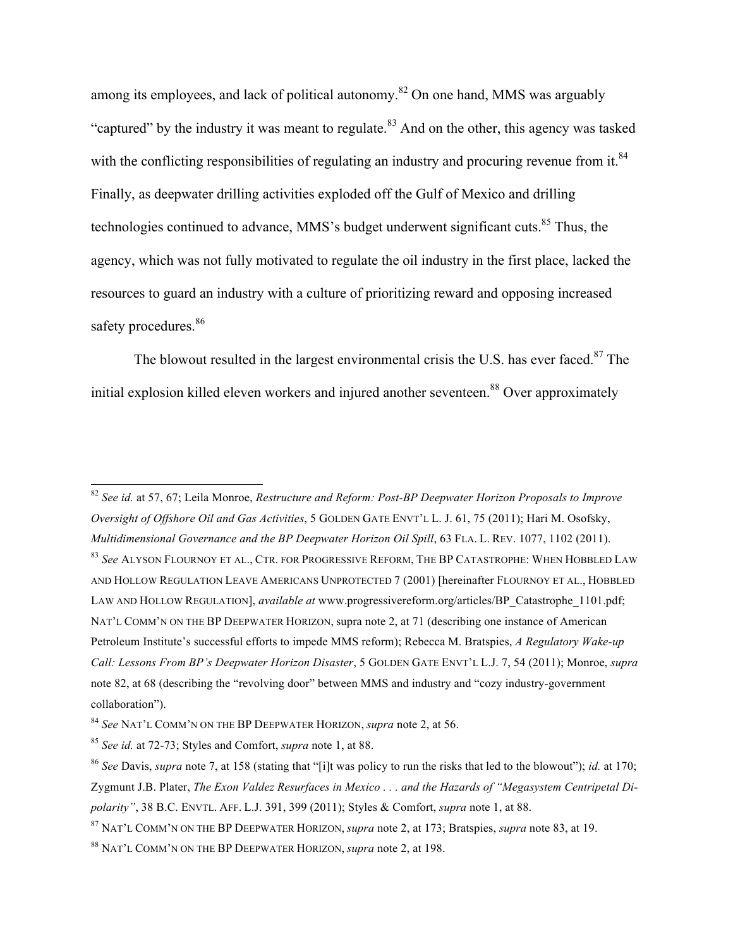among its employees, and lack of political autonomy.<sup>82</sup> On one hand, MMS was arguably "captured" by the industry it was meant to regulate.<sup>83</sup> And on the other, this agency was tasked with the conflicting responsibilities of regulating an industry and procuring revenue from it.<sup>84</sup> Finally, as deepwater drilling activities exploded off the Gulf of Mexico and drilling technologies continued to advance, MMS's budget underwent significant cuts.<sup>85</sup> Thus, the agency, which was not fully motivated to regulate the oil industry in the first place, lacked the resources to guard an industry with a culture of prioritizing reward and opposing increased safety procedures.<sup>86</sup>

The blowout resulted in the largest environmental crisis the U.S. has ever faced. $87$  The initial explosion killed eleven workers and injured another seventeen.<sup>88</sup> Over approximately

 <sup>82</sup> *See id.* at 57, 67; Leila Monroe, *Restructure and Reform: Post-BP Deepwater Horizon Proposals to Improve Oversight of Offshore Oil and Gas Activities*, 5 GOLDEN GATE ENVT'L L. J. 61, 75 (2011); Hari M. Osofsky, *Multidimensional Governance and the BP Deepwater Horizon Oil Spill*, 63 FLA. L. REV. 1077, 1102 (2011). <sup>83</sup> *See* ALYSON FLOURNOY ET AL., CTR. FOR PROGRESSIVE REFORM, THE BP CATASTROPHE: WHEN HOBBLED LAW AND HOLLOW REGULATION LEAVE AMERICANS UNPROTECTED 7 (2001) [hereinafter FLOURNOY ET AL., HOBBLED LAW AND HOLLOW REGULATION], *available at* www.progressivereform.org/articles/BP\_Catastrophe\_1101.pdf; NAT'L COMM'N ON THE BP DEEPWATER HORIZON, supra note 2, at 71 (describing one instance of American Petroleum Institute's successful efforts to impede MMS reform); Rebecca M. Bratspies, *A Regulatory Wake-up Call: Lessons From BP's Deepwater Horizon Disaster*, 5 GOLDEN GATE ENVT'L L.J. 7, 54 (2011); Monroe, *supra* note 82, at 68 (describing the "revolving door" between MMS and industry and "cozy industry-government collaboration").

<sup>84</sup> *See* NAT'L COMM'N ON THE BP DEEPWATER HORIZON, *supra* note 2, at 56.

<sup>85</sup> *See id.* at 72-73; Styles and Comfort, *supra* note 1, at 88.

<sup>86</sup> *See* Davis, *supra* note 7, at 158 (stating that "[i]t was policy to run the risks that led to the blowout"); *id.* at 170; Zygmunt J.B. Plater, *The Exon Valdez Resurfaces in Mexico . . . and the Hazards of "Megasystem Centripetal Dipolarity"*, 38 B.C. ENVTL. AFF. L.J. 391, 399 (2011); Styles & Comfort, *supra* note 1, at 88.

<sup>87</sup> NAT'L COMM'N ON THE BP DEEPWATER HORIZON, *supra* note 2, at 173; Bratspies, *supra* note 83, at 19.

<sup>88</sup> NAT'L COMM'N ON THE BP DEEPWATER HORIZON, *supra* note 2, at 198.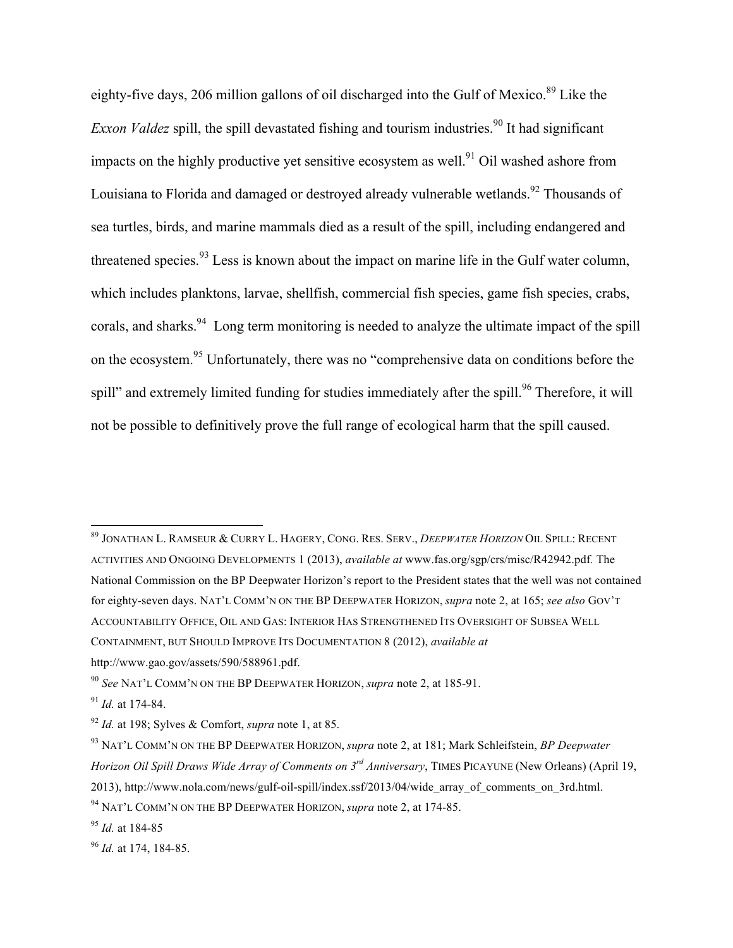eighty-five days, 206 million gallons of oil discharged into the Gulf of Mexico.<sup>89</sup> Like the *Exxon Valdez* spill, the spill devastated fishing and tourism industries.<sup>90</sup> It had significant impacts on the highly productive yet sensitive ecosystem as well.<sup>91</sup> Oil washed ashore from Louisiana to Florida and damaged or destroyed already vulnerable wetlands.<sup>92</sup> Thousands of sea turtles, birds, and marine mammals died as a result of the spill, including endangered and threatened species. $93$  Less is known about the impact on marine life in the Gulf water column, which includes planktons, larvae, shellfish, commercial fish species, game fish species, crabs, corals, and sharks.<sup>94</sup> Long term monitoring is needed to analyze the ultimate impact of the spill on the ecosystem.<sup>95</sup> Unfortunately, there was no "comprehensive data on conditions before the spill" and extremely limited funding for studies immediately after the spill.<sup>96</sup> Therefore, it will not be possible to definitively prove the full range of ecological harm that the spill caused.

 <sup>89</sup> JONATHAN L. RAMSEUR & CURRY L. HAGERY, CONG. RES. SERV., *DEEPWATER HORIZON* OIL SPILL: RECENT ACTIVITIES AND ONGOING DEVELOPMENTS 1 (2013), *available at* www.fas.org/sgp/crs/misc/R42942.pdf*.* The National Commission on the BP Deepwater Horizon's report to the President states that the well was not contained for eighty-seven days. NAT'L COMM'N ON THE BP DEEPWATER HORIZON, *supra* note 2, at 165; *see also* GOV'T ACCOUNTABILITY OFFICE, OIL AND GAS: INTERIOR HAS STRENGTHENED ITS OVERSIGHT OF SUBSEA WELL CONTAINMENT, BUT SHOULD IMPROVE ITS DOCUMENTATION 8 (2012), *available at* http://www.gao.gov/assets/590/588961.pdf.

<sup>90</sup> *See* NAT'L COMM'N ON THE BP DEEPWATER HORIZON, *supra* note 2, at 185-91.

<sup>91</sup> *Id.* at 174-84.

<sup>92</sup> *Id.* at 198; Sylves & Comfort, *supra* note 1, at 85.

<sup>93</sup> NAT'L COMM'N ON THE BP DEEPWATER HORIZON, *supra* note 2, at 181; Mark Schleifstein, *BP Deepwater Horizon Oil Spill Draws Wide Array of Comments on 3rd Anniversary*, TIMES PICAYUNE (New Orleans) (April 19, 2013), http://www.nola.com/news/gulf-oil-spill/index.ssf/2013/04/wide\_array\_of\_comments\_on\_3rd.html.

<sup>94</sup> NAT'L COMM'N ON THE BP DEEPWATER HORIZON, *supra* note 2, at 174-85.

<sup>95</sup> *Id.* at 184-85

<sup>96</sup> *Id.* at 174, 184-85.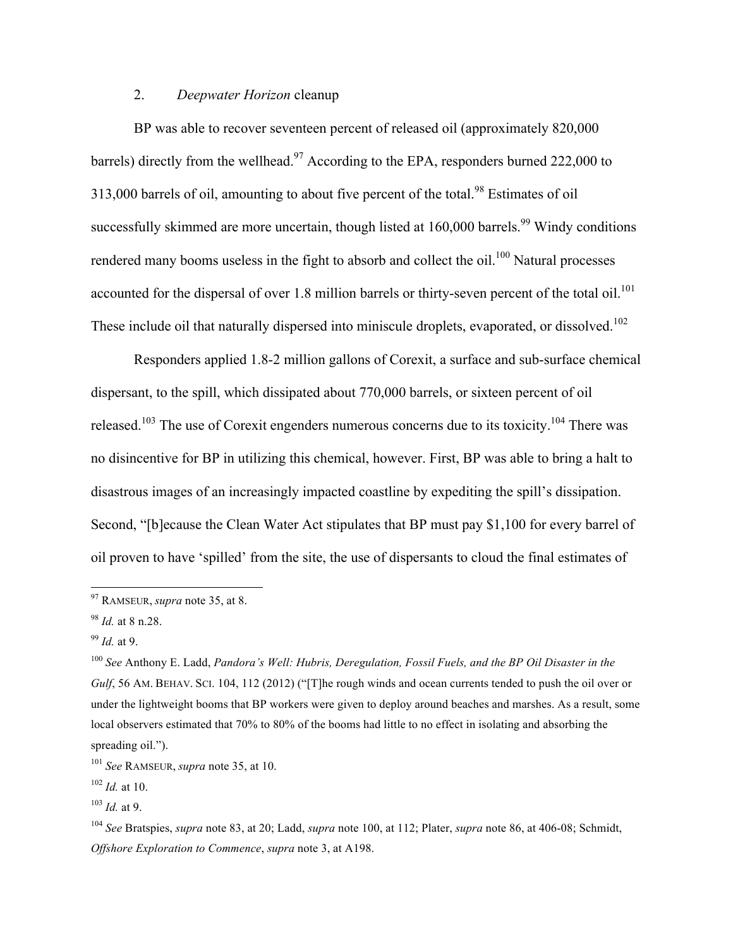#### 2. *Deepwater Horizon* cleanup

BP was able to recover seventeen percent of released oil (approximately 820,000 barrels) directly from the wellhead.<sup>97</sup> According to the EPA, responders burned 222,000 to 313,000 barrels of oil, amounting to about five percent of the total.<sup>98</sup> Estimates of oil successfully skimmed are more uncertain, though listed at  $160,000$  barrels.<sup>99</sup> Windy conditions rendered many booms useless in the fight to absorb and collect the oil.<sup>100</sup> Natural processes accounted for the dispersal of over 1.8 million barrels or thirty-seven percent of the total oil.<sup>101</sup> These include oil that naturally dispersed into miniscule droplets, evaporated, or dissolved.<sup>102</sup>

Responders applied 1.8-2 million gallons of Corexit, a surface and sub-surface chemical dispersant, to the spill, which dissipated about 770,000 barrels, or sixteen percent of oil released.<sup>103</sup> The use of Corexit engenders numerous concerns due to its toxicity.<sup>104</sup> There was no disincentive for BP in utilizing this chemical, however. First, BP was able to bring a halt to disastrous images of an increasingly impacted coastline by expediting the spill's dissipation. Second, "[b]ecause the Clean Water Act stipulates that BP must pay \$1,100 for every barrel of oil proven to have 'spilled' from the site, the use of dispersants to cloud the final estimates of

 <sup>97</sup> RAMSEUR, *supra* note 35, at 8.

<sup>98</sup> *Id.* at 8 n.28.

<sup>99</sup> *Id.* at 9.

<sup>100</sup> *See* Anthony E. Ladd, *Pandora's Well: Hubris, Deregulation, Fossil Fuels, and the BP Oil Disaster in the Gulf*, 56 AM. BEHAV. SCI. 104, 112 (2012) ("[T]he rough winds and ocean currents tended to push the oil over or under the lightweight booms that BP workers were given to deploy around beaches and marshes. As a result, some local observers estimated that 70% to 80% of the booms had little to no effect in isolating and absorbing the spreading oil.").

<sup>101</sup> *See* RAMSEUR, *supra* note 35, at 10.

<sup>102</sup> *Id.* at 10.

 $103$  *Id.* at 9.

<sup>104</sup> *See* Bratspies, *supra* note 83, at 20; Ladd, *supra* note 100, at 112; Plater, *supra* note 86, at 406-08; Schmidt, *Offshore Exploration to Commence*, *supra* note 3, at A198.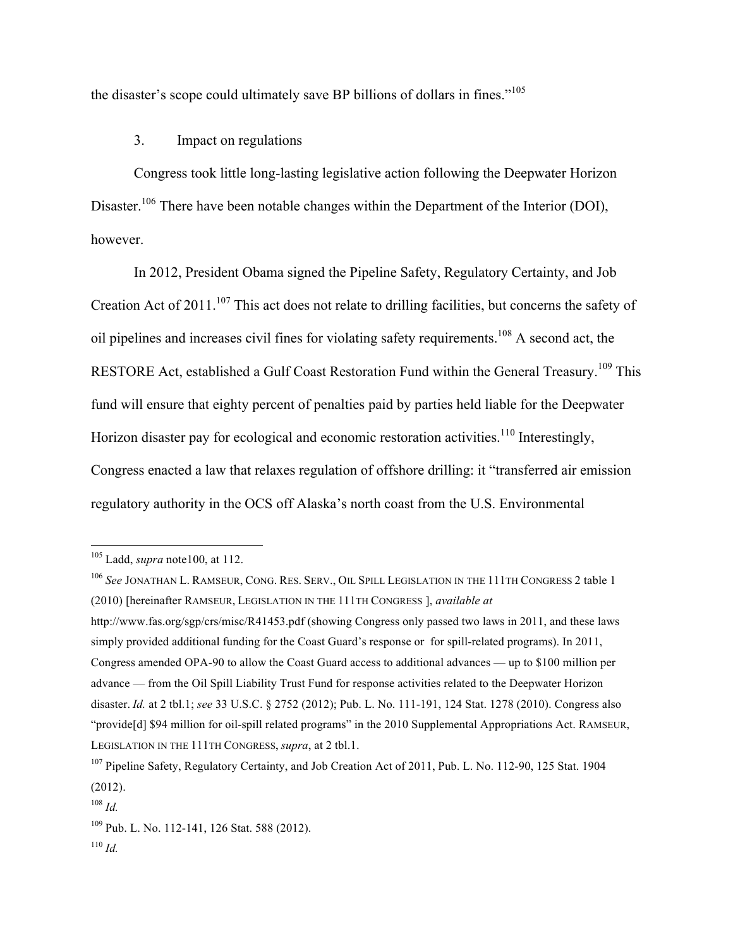the disaster's scope could ultimately save BP billions of dollars in fines."<sup>105</sup>

#### 3. Impact on regulations

Congress took little long-lasting legislative action following the Deepwater Horizon Disaster.<sup>106</sup> There have been notable changes within the Department of the Interior (DOI), however.

In 2012, President Obama signed the Pipeline Safety, Regulatory Certainty, and Job Creation Act of 2011.<sup>107</sup> This act does not relate to drilling facilities, but concerns the safety of oil pipelines and increases civil fines for violating safety requirements.108 A second act, the RESTORE Act, established a Gulf Coast Restoration Fund within the General Treasury.<sup>109</sup> This fund will ensure that eighty percent of penalties paid by parties held liable for the Deepwater Horizon disaster pay for ecological and economic restoration activities.<sup>110</sup> Interestingly, Congress enacted a law that relaxes regulation of offshore drilling: it "transferred air emission regulatory authority in the OCS off Alaska's north coast from the U.S. Environmental

<sup>110</sup> *Id.*

 <sup>105</sup> Ladd, *supra* note100, at 112.

<sup>106</sup> *See* JONATHAN L. RAMSEUR, CONG. RES. SERV., OIL SPILL LEGISLATION IN THE 111TH CONGRESS 2 table 1 (2010) [hereinafter RAMSEUR, LEGISLATION IN THE 111TH CONGRESS ], *available at* http://www.fas.org/sgp/crs/misc/R41453.pdf (showing Congress only passed two laws in 2011, and these laws simply provided additional funding for the Coast Guard's response or for spill-related programs). In 2011, Congress amended OPA-90 to allow the Coast Guard access to additional advances — up to \$100 million per advance — from the Oil Spill Liability Trust Fund for response activities related to the Deepwater Horizon disaster. *Id.* at 2 tbl.1; *see* 33 U.S.C. § 2752 (2012); Pub. L. No. 111-191, 124 Stat. 1278 (2010). Congress also "provide[d] \$94 million for oil-spill related programs" in the 2010 Supplemental Appropriations Act. RAMSEUR, LEGISLATION IN THE 111TH CONGRESS, *supra*, at 2 tbl.1.

<sup>&</sup>lt;sup>107</sup> Pipeline Safety, Regulatory Certainty, and Job Creation Act of 2011, Pub. L. No. 112-90, 125 Stat. 1904 (2012).

<sup>108</sup> *Id.*

<sup>109</sup> Pub. L. No. 112-141, 126 Stat. 588 (2012).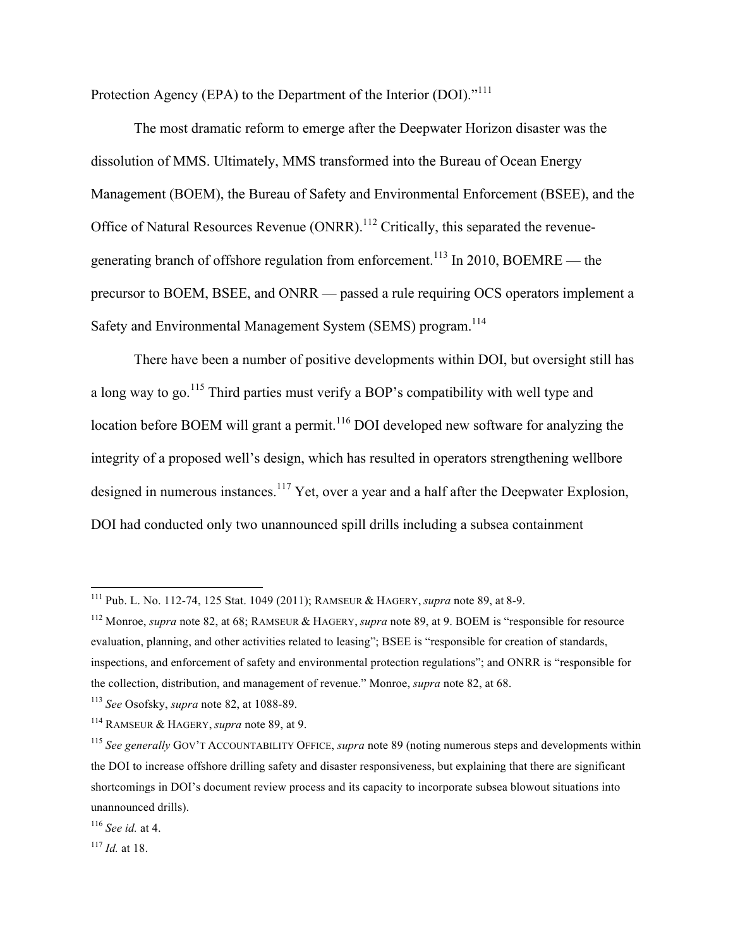Protection Agency (EPA) to the Department of the Interior (DOI)."<sup>111</sup>

The most dramatic reform to emerge after the Deepwater Horizon disaster was the dissolution of MMS. Ultimately, MMS transformed into the Bureau of Ocean Energy Management (BOEM), the Bureau of Safety and Environmental Enforcement (BSEE), and the Office of Natural Resources Revenue  $(ONRR)$ <sup>112</sup> Critically, this separated the revenuegenerating branch of offshore regulation from enforcement.<sup>113</sup> In 2010, BOEMRE — the precursor to BOEM, BSEE, and ONRR — passed a rule requiring OCS operators implement a Safety and Environmental Management System (SEMS) program.<sup>114</sup>

There have been a number of positive developments within DOI, but oversight still has a long way to go.<sup>115</sup> Third parties must verify a BOP's compatibility with well type and location before BOEM will grant a permit.<sup>116</sup> DOI developed new software for analyzing the integrity of a proposed well's design, which has resulted in operators strengthening wellbore designed in numerous instances.<sup>117</sup> Yet, over a year and a half after the Deepwater Explosion, DOI had conducted only two unannounced spill drills including a subsea containment

<sup>113</sup> *See* Osofsky, *supra* note 82, at 1088-89.

 <sup>111</sup> Pub. L. No. 112-74, 125 Stat. 1049 (2011); RAMSEUR & HAGERY, *supra* note 89, at 8-9.

<sup>112</sup> Monroe, *supra* note 82, at 68; RAMSEUR & HAGERY, *supra* note 89, at 9. BOEM is "responsible for resource evaluation, planning, and other activities related to leasing"; BSEE is "responsible for creation of standards, inspections, and enforcement of safety and environmental protection regulations"; and ONRR is "responsible for the collection, distribution, and management of revenue." Monroe, *supra* note 82, at 68.

<sup>114</sup> RAMSEUR & HAGERY, *supra* note 89, at 9.

<sup>115</sup> *See generally* GOV'T ACCOUNTABILITY OFFICE, *supra* note 89 (noting numerous steps and developments within the DOI to increase offshore drilling safety and disaster responsiveness, but explaining that there are significant shortcomings in DOI's document review process and its capacity to incorporate subsea blowout situations into unannounced drills).

<sup>116</sup> *See id.* at 4.

<sup>117</sup> *Id.* at 18.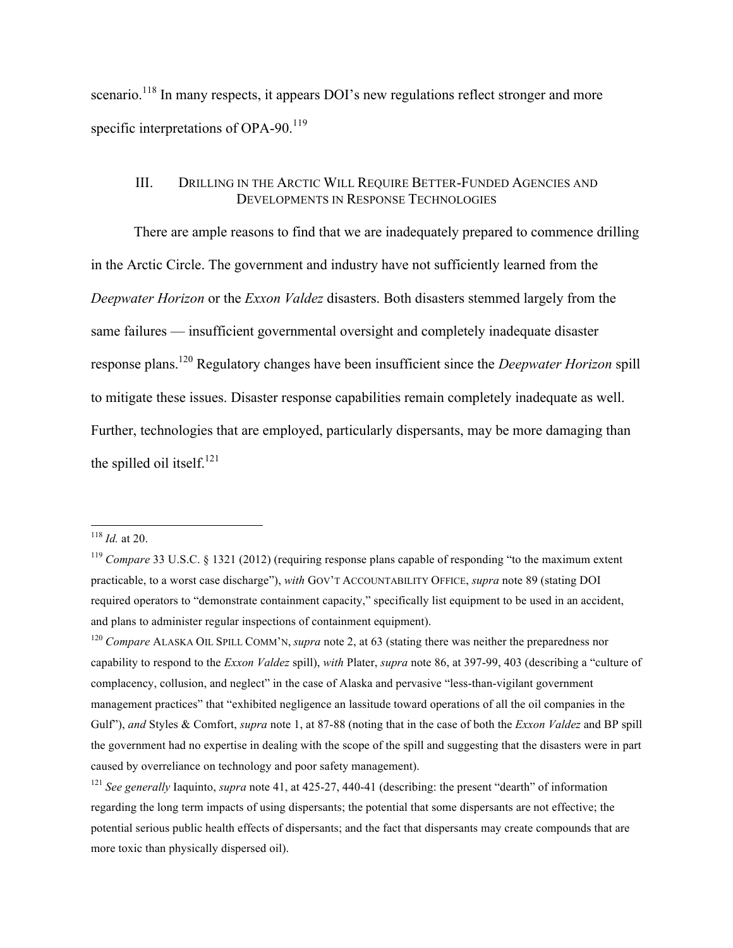scenario.<sup>118</sup> In many respects, it appears DOI's new regulations reflect stronger and more specific interpretations of OPA-90. $^{119}$ 

#### III. DRILLING IN THE ARCTIC WILL REQUIRE BETTER-FUNDED AGENCIES AND DEVELOPMENTS IN RESPONSE TECHNOLOGIES

There are ample reasons to find that we are inadequately prepared to commence drilling in the Arctic Circle. The government and industry have not sufficiently learned from the *Deepwater Horizon* or the *Exxon Valdez* disasters. Both disasters stemmed largely from the same failures — insufficient governmental oversight and completely inadequate disaster response plans.120 Regulatory changes have been insufficient since the *Deepwater Horizon* spill to mitigate these issues. Disaster response capabilities remain completely inadequate as well. Further, technologies that are employed, particularly dispersants, may be more damaging than the spilled oil itself. $^{121}$ 

 <sup>118</sup> *Id.* at 20.

<sup>119</sup> *Compare* 33 U.S.C. § 1321 (2012) (requiring response plans capable of responding "to the maximum extent practicable, to a worst case discharge"), *with* GOV'T ACCOUNTABILITY OFFICE, *supra* note 89 (stating DOI required operators to "demonstrate containment capacity," specifically list equipment to be used in an accident, and plans to administer regular inspections of containment equipment).

<sup>120</sup> *Compare* ALASKA OIL SPILL COMM'N, *supra* note 2, at 63 (stating there was neither the preparedness nor capability to respond to the *Exxon Valdez* spill), *with* Plater, *supra* note 86, at 397-99, 403 (describing a "culture of complacency, collusion, and neglect" in the case of Alaska and pervasive "less-than-vigilant government management practices" that "exhibited negligence an lassitude toward operations of all the oil companies in the Gulf"), *and* Styles & Comfort, *supra* note 1, at 87-88 (noting that in the case of both the *Exxon Valdez* and BP spill the government had no expertise in dealing with the scope of the spill and suggesting that the disasters were in part caused by overreliance on technology and poor safety management).

<sup>&</sup>lt;sup>121</sup> *See generally* Iaquinto, *supra* note 41, at 425-27, 440-41 (describing; the present "dearth" of information regarding the long term impacts of using dispersants; the potential that some dispersants are not effective; the potential serious public health effects of dispersants; and the fact that dispersants may create compounds that are more toxic than physically dispersed oil).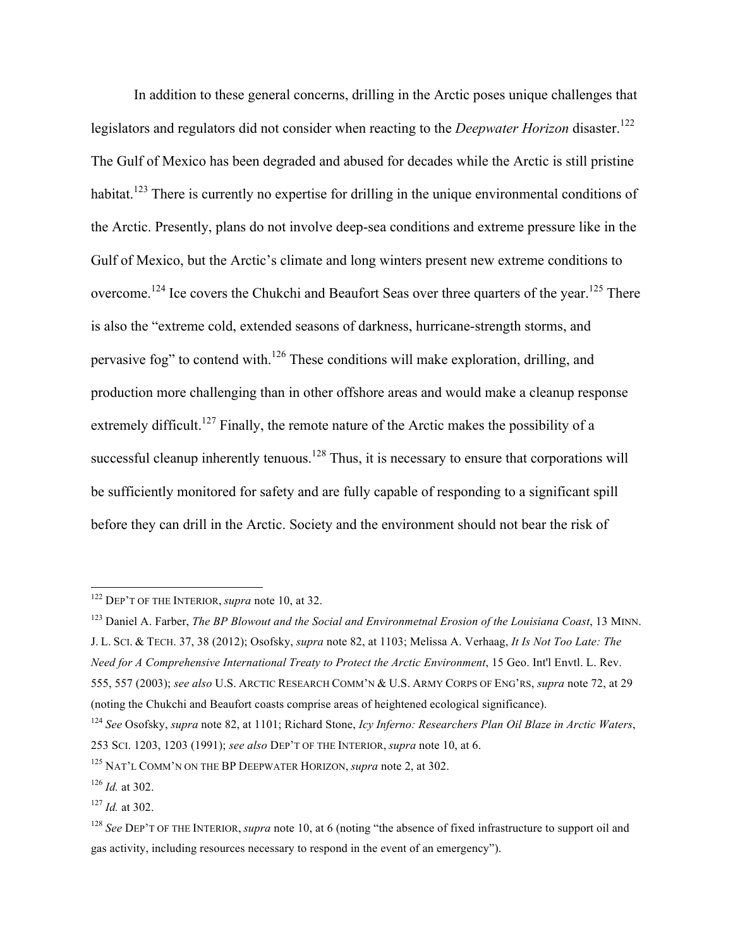In addition to these general concerns, drilling in the Arctic poses unique challenges that legislators and regulators did not consider when reacting to the *Deepwater Horizon* disaster.<sup>122</sup> The Gulf of Mexico has been degraded and abused for decades while the Arctic is still pristine habitat.<sup>123</sup> There is currently no expertise for drilling in the unique environmental conditions of the Arctic. Presently, plans do not involve deep-sea conditions and extreme pressure like in the Gulf of Mexico, but the Arctic's climate and long winters present new extreme conditions to overcome.<sup>124</sup> Ice covers the Chukchi and Beaufort Seas over three quarters of the year.<sup>125</sup> There is also the "extreme cold, extended seasons of darkness, hurricane-strength storms, and pervasive fog" to contend with.<sup>126</sup> These conditions will make exploration, drilling, and production more challenging than in other offshore areas and would make a cleanup response extremely difficult.<sup>127</sup> Finally, the remote nature of the Arctic makes the possibility of a successful cleanup inherently tenuous.<sup>128</sup> Thus, it is necessary to ensure that corporations will be sufficiently monitored for safety and are fully capable of responding to a significant spill before they can drill in the Arctic. Society and the environment should not bear the risk of

 <sup>122</sup> DEP'T OF THE INTERIOR, *supra* note 10, at 32.

<sup>&</sup>lt;sup>123</sup> Daniel A. Farber, *The BP Blowout and the Social and Environmetnal Erosion of the Louisiana Coast*, 13 MINN. J. L. SCI. & TECH. 37, 38 (2012); Osofsky, *supra* note 82, at 1103; Melissa A. Verhaag, *It Is Not Too Late: The Need for A Comprehensive International Treaty to Protect the Arctic Environment*, 15 Geo. Int'l Envtl. L. Rev. 555, 557 (2003); *see also* U.S. ARCTIC RESEARCH COMM'N & U.S. ARMY CORPS OF ENG'RS, *supra* note 72, at 29 (noting the Chukchi and Beaufort coasts comprise areas of heightened ecological significance).

<sup>124</sup> *See* Osofsky, *supra* note 82, at 1101; Richard Stone, *Icy Inferno: Researchers Plan Oil Blaze in Arctic Waters*, 253 SCI. 1203, 1203 (1991); *see also* DEP'T OF THE INTERIOR, *supra* note 10, at 6.

<sup>125</sup> NAT'L COMM'N ON THE BP DEEPWATER HORIZON, *supra* note 2, at 302.

<sup>126</sup> *Id.* at 302.

<sup>127</sup> *Id.* at 302.

<sup>128</sup> *See* DEP'T OF THE INTERIOR, *supra* note 10, at 6 (noting "the absence of fixed infrastructure to support oil and gas activity, including resources necessary to respond in the event of an emergency").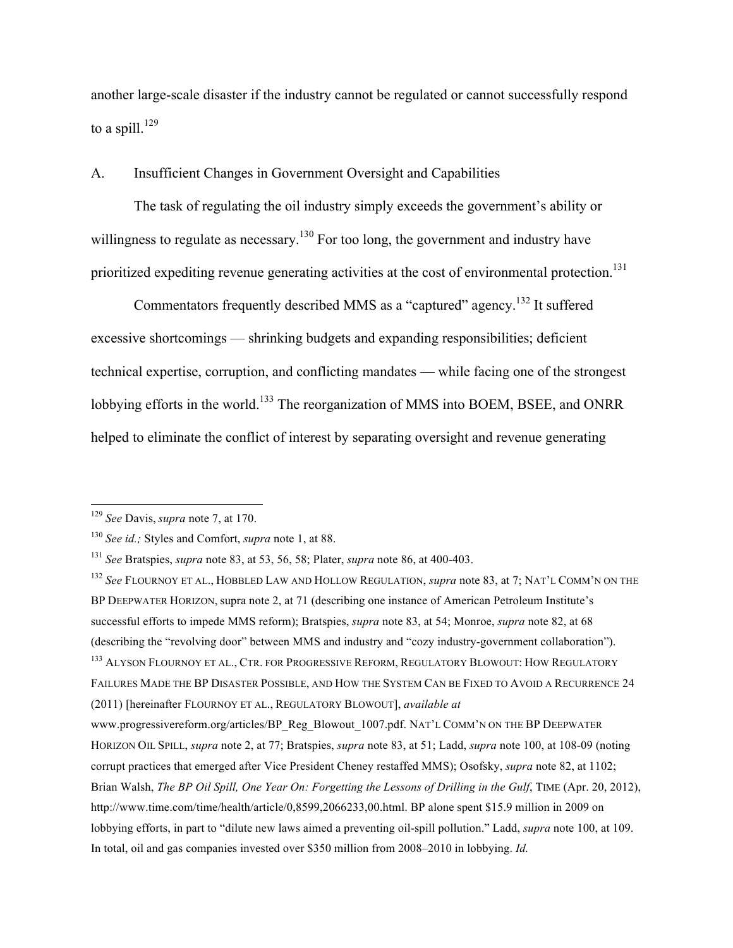another large-scale disaster if the industry cannot be regulated or cannot successfully respond to a spill. $^{129}$ 

#### A. Insufficient Changes in Government Oversight and Capabilities

The task of regulating the oil industry simply exceeds the government's ability or willingness to regulate as necessary.<sup>130</sup> For too long, the government and industry have prioritized expediting revenue generating activities at the cost of environmental protection.<sup>131</sup>

Commentators frequently described MMS as a "captured" agency.<sup>132</sup> It suffered excessive shortcomings — shrinking budgets and expanding responsibilities; deficient technical expertise, corruption, and conflicting mandates — while facing one of the strongest lobbying efforts in the world.<sup>133</sup> The reorganization of MMS into BOEM, BSEE, and ONRR helped to eliminate the conflict of interest by separating oversight and revenue generating

 <sup>129</sup> *See* Davis, *supra* note 7, at 170.

<sup>130</sup> *See id.;* Styles and Comfort, *supra* note 1, at 88.

<sup>131</sup> *See* Bratspies, *supra* note 83, at 53, 56, 58; Plater, *supra* note 86, at 400-403.

<sup>132</sup> *See* FLOURNOY ET AL., HOBBLED LAW AND HOLLOW REGULATION, *supra* note 83, at 7; NAT'L COMM'N ON THE BP DEEPWATER HORIZON, supra note 2, at 71 (describing one instance of American Petroleum Institute's successful efforts to impede MMS reform); Bratspies, *supra* note 83, at 54; Monroe, *supra* note 82, at 68 (describing the "revolving door" between MMS and industry and "cozy industry-government collaboration"). <sup>133</sup> ALYSON FLOURNOY ET AL., CTR. FOR PROGRESSIVE REFORM, REGULATORY BLOWOUT: HOW REGULATORY FAILURES MADE THE BP DISASTER POSSIBLE, AND HOW THE SYSTEM CAN BE FIXED TO AVOID A RECURRENCE 24 (2011) [hereinafter FLOURNOY ET AL., REGULATORY BLOWOUT], *available at* www.progressivereform.org/articles/BP\_Reg\_Blowout\_1007.pdf. NAT'L COMM'N ON THE BP DEEPWATER HORIZON OIL SPILL, *supra* note 2, at 77; Bratspies, *supra* note 83, at 51; Ladd, *supra* note 100, at 108-09 (noting corrupt practices that emerged after Vice President Cheney restaffed MMS); Osofsky, *supra* note 82, at 1102; Brian Walsh, *The BP Oil Spill, One Year On: Forgetting the Lessons of Drilling in the Gulf*, TIME (Apr. 20, 2012), http://www.time.com/time/health/article/0,8599,2066233,00.html. BP alone spent \$15.9 million in 2009 on lobbying efforts, in part to "dilute new laws aimed a preventing oil-spill pollution." Ladd, *supra* note 100, at 109. In total, oil and gas companies invested over \$350 million from 2008–2010 in lobbying. *Id.*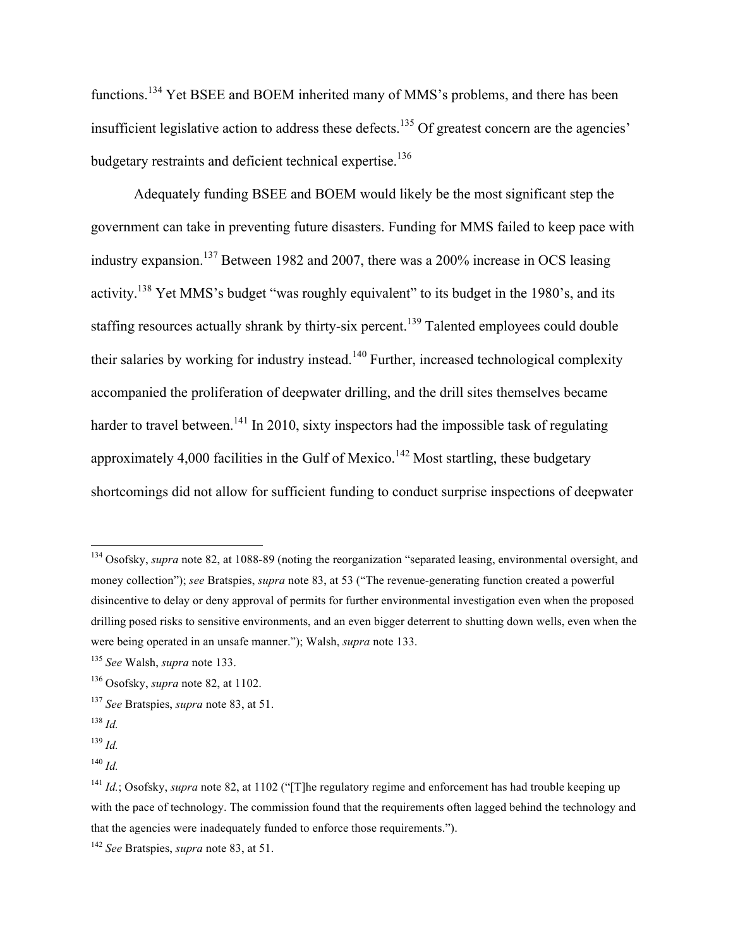functions.<sup>134</sup> Yet BSEE and BOEM inherited many of MMS's problems, and there has been insufficient legislative action to address these defects.<sup>135</sup> Of greatest concern are the agencies' budgetary restraints and deficient technical expertise.<sup>136</sup>

Adequately funding BSEE and BOEM would likely be the most significant step the government can take in preventing future disasters. Funding for MMS failed to keep pace with industry expansion.<sup>137</sup> Between 1982 and 2007, there was a 200% increase in OCS leasing activity.<sup>138</sup> Yet MMS's budget "was roughly equivalent" to its budget in the 1980's, and its staffing resources actually shrank by thirty-six percent.<sup>139</sup> Talented employees could double their salaries by working for industry instead.<sup>140</sup> Further, increased technological complexity accompanied the proliferation of deepwater drilling, and the drill sites themselves became harder to travel between.<sup>141</sup> In 2010, sixty inspectors had the impossible task of regulating approximately 4,000 facilities in the Gulf of Mexico.<sup>142</sup> Most startling, these budgetary shortcomings did not allow for sufficient funding to conduct surprise inspections of deepwater

<sup>&</sup>lt;sup>134</sup> Osofsky, *supra* note 82, at 1088-89 (noting the reorganization "separated leasing, environmental oversight, and money collection"); *see* Bratspies, *supra* note 83, at 53 ("The revenue-generating function created a powerful disincentive to delay or deny approval of permits for further environmental investigation even when the proposed drilling posed risks to sensitive environments, and an even bigger deterrent to shutting down wells, even when the were being operated in an unsafe manner."); Walsh, *supra* note 133.

<sup>135</sup> *See* Walsh, *supra* note 133.

<sup>136</sup> Osofsky, *supra* note 82, at 1102.

<sup>137</sup> *See* Bratspies, *supra* note 83, at 51.

<sup>138</sup> *Id.*

<sup>139</sup> *Id.*

<sup>140</sup> *Id.*

<sup>&</sup>lt;sup>141</sup> *Id.*; Osofsky, *supra* note 82, at 1102 ("The regulatory regime and enforcement has had trouble keeping up with the pace of technology. The commission found that the requirements often lagged behind the technology and that the agencies were inadequately funded to enforce those requirements.").

<sup>142</sup> *See* Bratspies, *supra* note 83, at 51.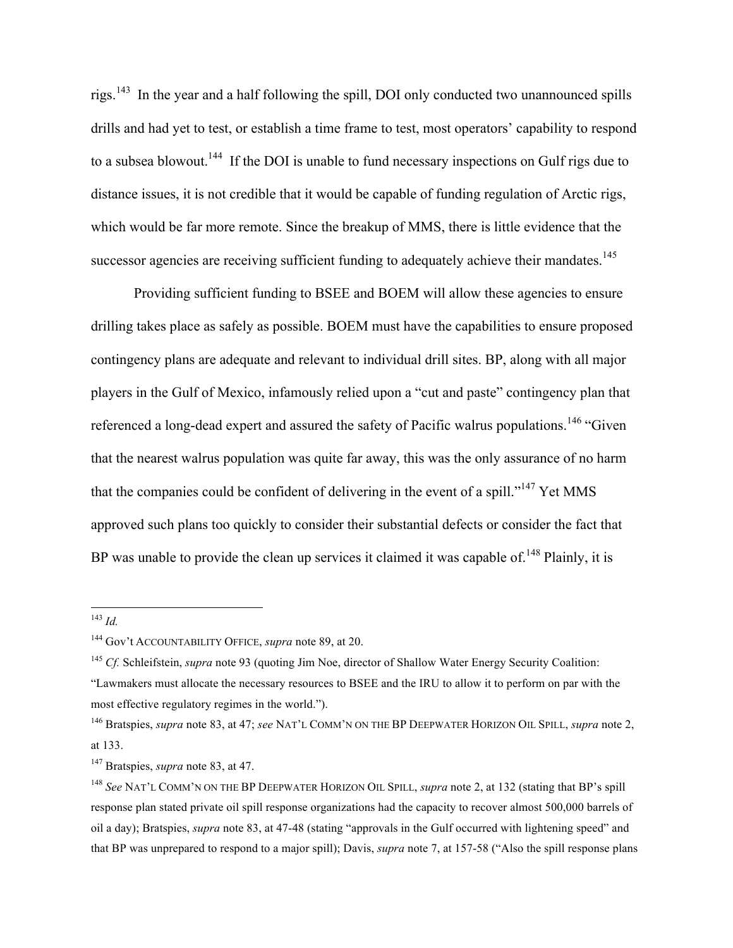rigs.143 In the year and a half following the spill, DOI only conducted two unannounced spills drills and had yet to test, or establish a time frame to test, most operators' capability to respond to a subsea blowout.<sup>144</sup> If the DOI is unable to fund necessary inspections on Gulf rigs due to distance issues, it is not credible that it would be capable of funding regulation of Arctic rigs, which would be far more remote. Since the breakup of MMS, there is little evidence that the successor agencies are receiving sufficient funding to adequately achieve their mandates.<sup>145</sup>

Providing sufficient funding to BSEE and BOEM will allow these agencies to ensure drilling takes place as safely as possible. BOEM must have the capabilities to ensure proposed contingency plans are adequate and relevant to individual drill sites. BP, along with all major players in the Gulf of Mexico, infamously relied upon a "cut and paste" contingency plan that referenced a long-dead expert and assured the safety of Pacific walrus populations.<sup>146</sup> "Given" that the nearest walrus population was quite far away, this was the only assurance of no harm that the companies could be confident of delivering in the event of a spill."<sup>147</sup> Yet MMS approved such plans too quickly to consider their substantial defects or consider the fact that BP was unable to provide the clean up services it claimed it was capable of.<sup>148</sup> Plainly, it is

 <sup>143</sup> *Id.*

<sup>144</sup> Gov't ACCOUNTABILITY OFFICE, *supra* note 89, at 20.

<sup>145</sup> *Cf.* Schleifstein, *supra* note 93 (quoting Jim Noe, director of Shallow Water Energy Security Coalition:

<sup>&</sup>quot;Lawmakers must allocate the necessary resources to BSEE and the IRU to allow it to perform on par with the most effective regulatory regimes in the world.").

<sup>146</sup> Bratspies, *supra* note 83, at 47; *see* NAT'L COMM'N ON THE BP DEEPWATER HORIZON OIL SPILL, *supra* note 2, at 133.

<sup>147</sup> Bratspies, *supra* note 83, at 47.

<sup>&</sup>lt;sup>148</sup> See NAT'L COMM'N ON THE BP DEEPWATER HORIZON OIL SPILL, *supra* note 2, at 132 (stating that BP's spill response plan stated private oil spill response organizations had the capacity to recover almost 500,000 barrels of oil a day); Bratspies, *supra* note 83, at 47-48 (stating "approvals in the Gulf occurred with lightening speed" and that BP was unprepared to respond to a major spill); Davis, *supra* note 7, at 157-58 ("Also the spill response plans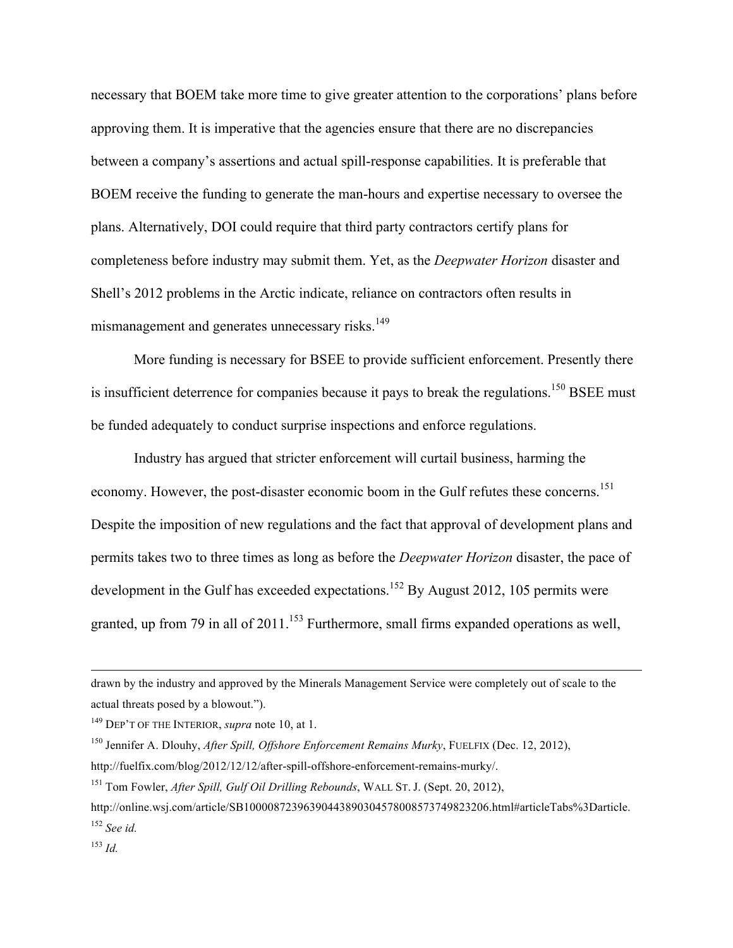necessary that BOEM take more time to give greater attention to the corporations' plans before approving them. It is imperative that the agencies ensure that there are no discrepancies between a company's assertions and actual spill-response capabilities. It is preferable that BOEM receive the funding to generate the man-hours and expertise necessary to oversee the plans. Alternatively, DOI could require that third party contractors certify plans for completeness before industry may submit them. Yet, as the *Deepwater Horizon* disaster and Shell's 2012 problems in the Arctic indicate, reliance on contractors often results in mismanagement and generates unnecessary risks.<sup>149</sup>

More funding is necessary for BSEE to provide sufficient enforcement. Presently there is insufficient deterrence for companies because it pays to break the regulations.<sup>150</sup> BSEE must be funded adequately to conduct surprise inspections and enforce regulations.

Industry has argued that stricter enforcement will curtail business, harming the economy. However, the post-disaster economic boom in the Gulf refutes these concerns.<sup>151</sup> Despite the imposition of new regulations and the fact that approval of development plans and permits takes two to three times as long as before the *Deepwater Horizon* disaster, the pace of development in the Gulf has exceeded expectations.<sup>152</sup> By August 2012, 105 permits were granted, up from 79 in all of  $2011$ .<sup>153</sup> Furthermore, small firms expanded operations as well,

<u> 1989 - Andrea Santa Andrea Andrea Andrea Andrea Andrea Andrea Andrea Andrea Andrea Andrea Andrea Andrea Andr</u>

drawn by the industry and approved by the Minerals Management Service were completely out of scale to the actual threats posed by a blowout.").

<sup>149</sup> DEP'T OF THE INTERIOR, *supra* note 10, at 1.

<sup>150</sup> Jennifer A. Dlouhy, *After Spill, Offshore Enforcement Remains Murky*, FUELFIX (Dec. 12, 2012), http://fuelfix.com/blog/2012/12/12/after-spill-offshore-enforcement-remains-murky/.

<sup>151</sup> Tom Fowler, *After Spill, Gulf Oil Drilling Rebounds*, WALL ST. J. (Sept. 20, 2012),

http://online.wsj.com/article/SB10000872396390443890304578008573749823206.html#articleTabs%3Darticle. <sup>152</sup> *See id.*

<sup>153</sup> *Id.*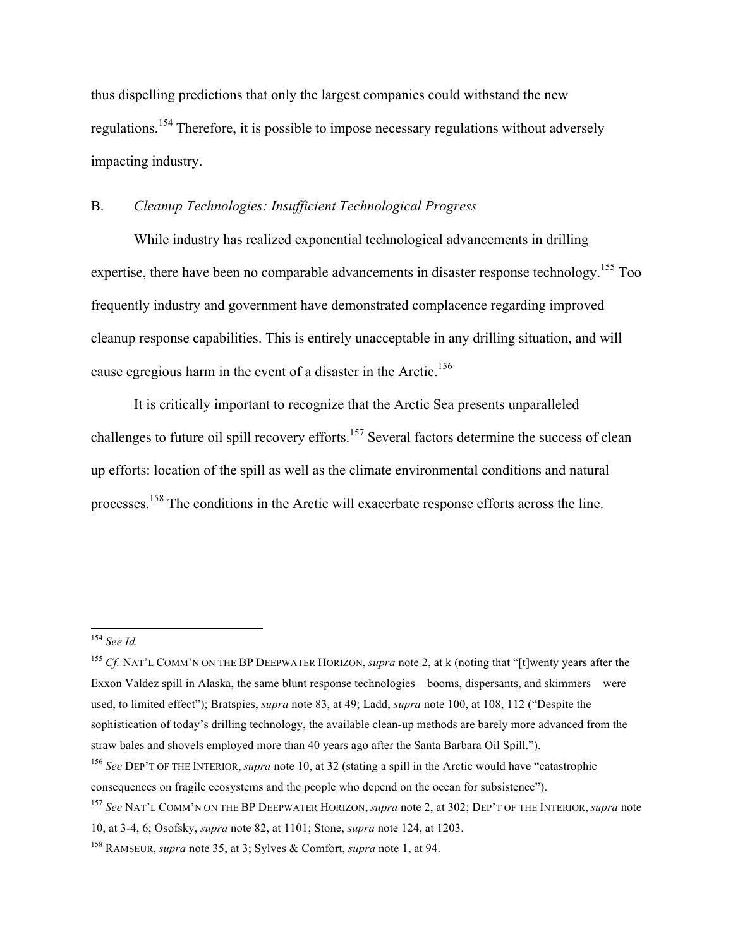thus dispelling predictions that only the largest companies could withstand the new regulations.<sup>154</sup> Therefore, it is possible to impose necessary regulations without adversely impacting industry.

## B. *Cleanup Technologies: Insufficient Technological Progress*

While industry has realized exponential technological advancements in drilling expertise, there have been no comparable advancements in disaster response technology.<sup>155</sup> Too frequently industry and government have demonstrated complacence regarding improved cleanup response capabilities. This is entirely unacceptable in any drilling situation, and will cause egregious harm in the event of a disaster in the Arctic.<sup>156</sup>

It is critically important to recognize that the Arctic Sea presents unparalleled challenges to future oil spill recovery efforts.<sup>157</sup> Several factors determine the success of clean up efforts: location of the spill as well as the climate environmental conditions and natural processes.158 The conditions in the Arctic will exacerbate response efforts across the line.

 <sup>154</sup> *See Id.*

<sup>155</sup> *Cf.* NAT'L COMM'N ON THE BP DEEPWATER HORIZON, *supra* note 2, at k (noting that "[t]wenty years after the Exxon Valdez spill in Alaska, the same blunt response technologies—booms, dispersants, and skimmers—were used, to limited effect"); Bratspies, *supra* note 83, at 49; Ladd, *supra* note 100, at 108, 112 ("Despite the sophistication of today's drilling technology, the available clean-up methods are barely more advanced from the straw bales and shovels employed more than 40 years ago after the Santa Barbara Oil Spill.").

<sup>156</sup> *See* DEP'T OF THE INTERIOR, *supra* note 10, at 32 (stating a spill in the Arctic would have "catastrophic consequences on fragile ecosystems and the people who depend on the ocean for subsistence").

<sup>157</sup> *See* NAT'L COMM'N ON THE BP DEEPWATER HORIZON, *supra* note 2, at 302; DEP'T OF THE INTERIOR, *supra* note

<sup>10,</sup> at 3-4, 6; Osofsky, *supra* note 82, at 1101; Stone, *supra* note 124, at 1203.

<sup>158</sup> RAMSEUR, *supra* note 35, at 3; Sylves & Comfort, *supra* note 1, at 94.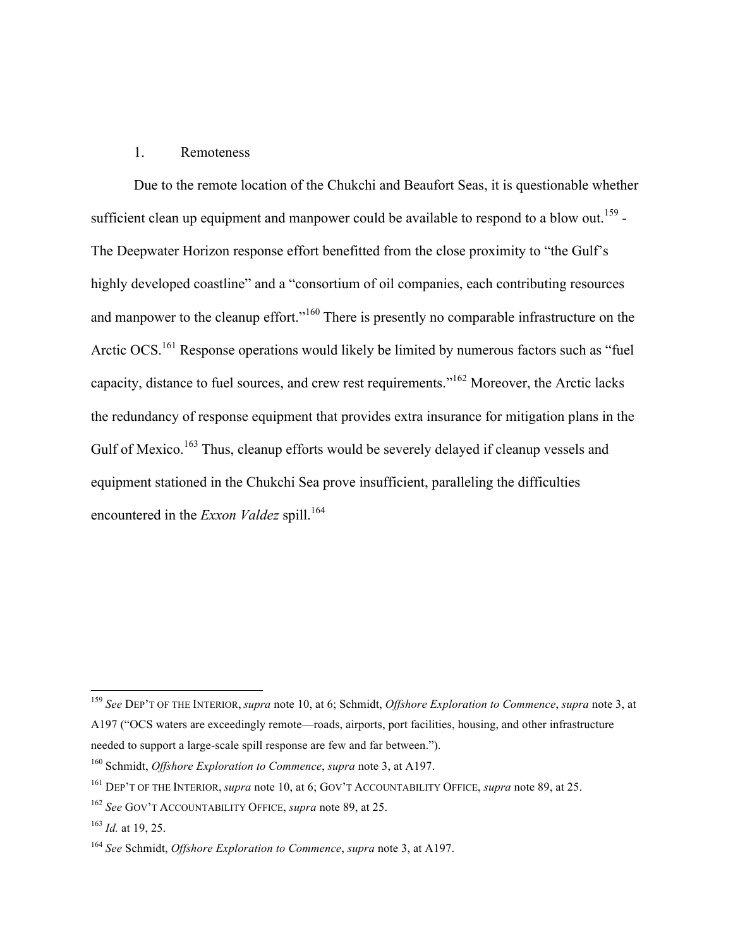### 1. Remoteness

Due to the remote location of the Chukchi and Beaufort Seas, it is questionable whether sufficient clean up equipment and manpower could be available to respond to a blow out.<sup>159</sup> -The Deepwater Horizon response effort benefitted from the close proximity to "the Gulf's highly developed coastline" and a "consortium of oil companies, each contributing resources and manpower to the cleanup effort."<sup>160</sup> There is presently no comparable infrastructure on the Arctic OCS.<sup>161</sup> Response operations would likely be limited by numerous factors such as "fuel" capacity, distance to fuel sources, and crew rest requirements."162 Moreover, the Arctic lacks the redundancy of response equipment that provides extra insurance for mitigation plans in the Gulf of Mexico.<sup>163</sup> Thus, cleanup efforts would be severely delayed if cleanup vessels and equipment stationed in the Chukchi Sea prove insufficient, paralleling the difficulties encountered in the *Exxon Valdez* spill.<sup>164</sup>

 <sup>159</sup> *See* DEP'T OF THE INTERIOR, *supra* note 10, at 6; Schmidt, *Offshore Exploration to Commence*, *supra* note 3, at A197 ("OCS waters are exceedingly remote—roads, airports, port facilities, housing, and other infrastructure needed to support a large-scale spill response are few and far between.").

<sup>160</sup> Schmidt, *Offshore Exploration to Commence*, *supra* note 3, at A197.

<sup>161</sup> DEP'T OF THE INTERIOR, *supra* note 10, at 6; GOV'T ACCOUNTABILITY OFFICE, *supra* note 89, at 25.

<sup>162</sup> *See* GOV'T ACCOUNTABILITY OFFICE, *supra* note 89, at 25.

<sup>163</sup> *Id.* at 19, 25.

<sup>164</sup> *See* Schmidt, *Offshore Exploration to Commence*, *supra* note 3, at A197.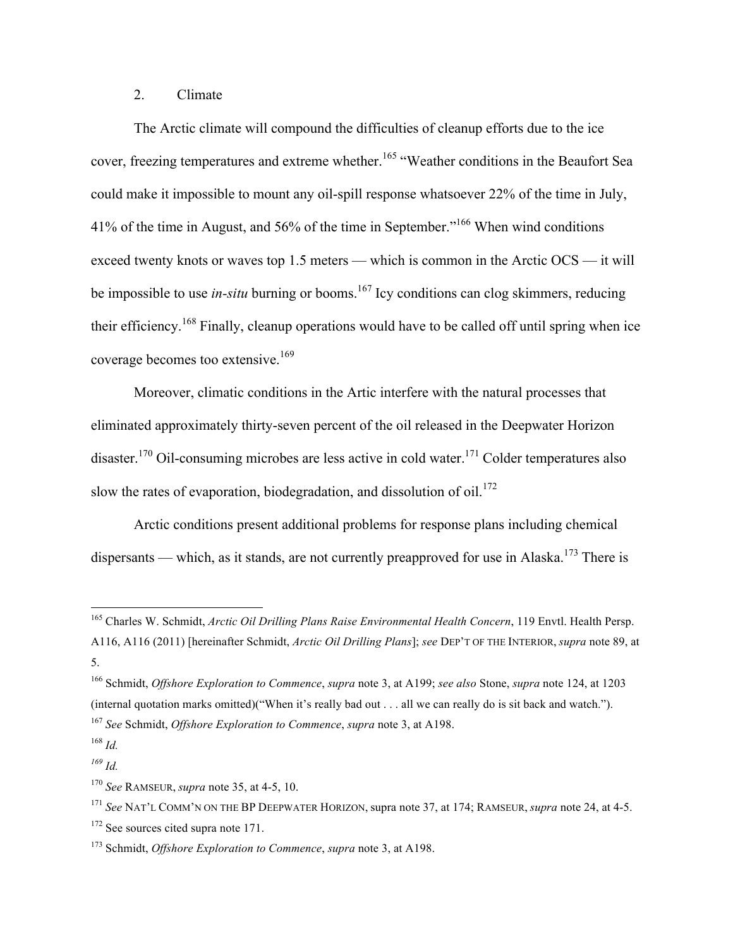## 2. Climate

The Arctic climate will compound the difficulties of cleanup efforts due to the ice cover, freezing temperatures and extreme whether.<sup>165</sup> "Weather conditions in the Beaufort Sea could make it impossible to mount any oil-spill response whatsoever 22% of the time in July, 41% of the time in August, and 56% of the time in September."<sup>166</sup> When wind conditions exceed twenty knots or waves top 1.5 meters — which is common in the Arctic OCS — it will be impossible to use *in-situ* burning or booms.<sup>167</sup> Icy conditions can clog skimmers, reducing their efficiency.<sup>168</sup> Finally, cleanup operations would have to be called off until spring when ice coverage becomes too extensive.<sup>169</sup>

Moreover, climatic conditions in the Artic interfere with the natural processes that eliminated approximately thirty-seven percent of the oil released in the Deepwater Horizon disaster.<sup>170</sup> Oil-consuming microbes are less active in cold water.<sup>171</sup> Colder temperatures also slow the rates of evaporation, biodegradation, and dissolution of oil.<sup>172</sup>

Arctic conditions present additional problems for response plans including chemical dispersants — which, as it stands, are not currently preapproved for use in Alaska.<sup>173</sup> There is

 <sup>165</sup> Charles W. Schmidt, *Arctic Oil Drilling Plans Raise Environmental Health Concern*, 119 Envtl. Health Persp. A116, A116 (2011) [hereinafter Schmidt, *Arctic Oil Drilling Plans*]; *see* DEP'T OF THE INTERIOR, *supra* note 89, at 5.

<sup>166</sup> Schmidt, *Offshore Exploration to Commence*, *supra* note 3, at A199; *see also* Stone, *supra* note 124, at 1203 (internal quotation marks omitted)("When it's really bad out . . . all we can really do is sit back and watch.").

<sup>167</sup> *See* Schmidt, *Offshore Exploration to Commence*, *supra* note 3, at A198.

<sup>168</sup> *Id.*

*<sup>169</sup> Id.*

<sup>170</sup> *See* RAMSEUR, *supra* note 35, at 4-5, 10.

<sup>171</sup> *See* NAT'L COMM'N ON THE BP DEEPWATER HORIZON, supra note 37, at 174; RAMSEUR, *supra* note 24, at 4-5.

<sup>&</sup>lt;sup>172</sup> See sources cited supra note 171.

<sup>173</sup> Schmidt, *Offshore Exploration to Commence*, *supra* note 3, at A198.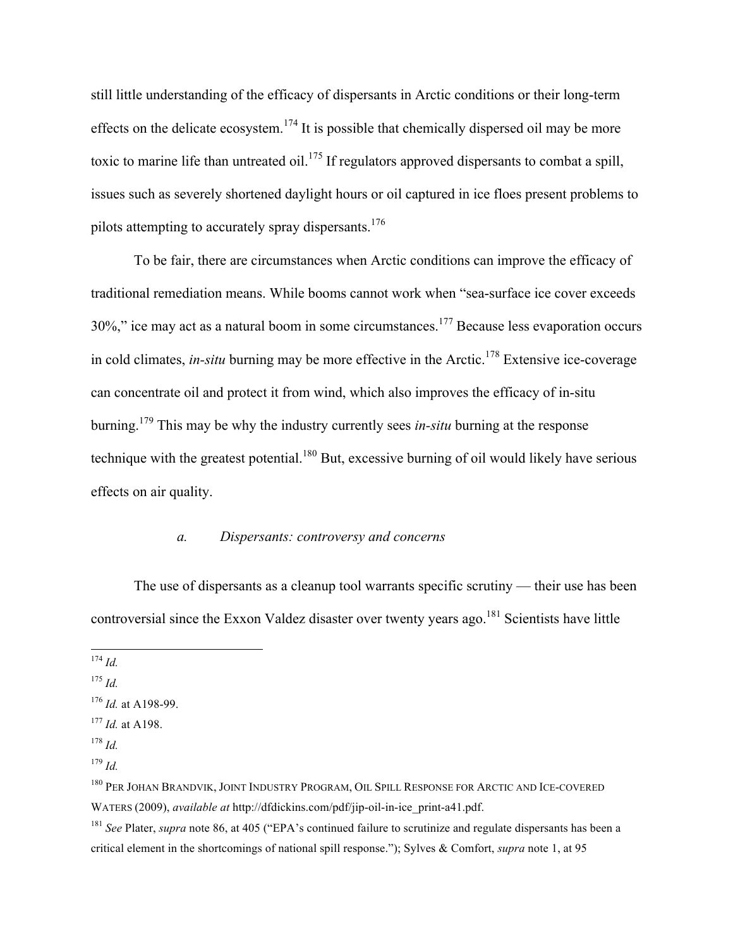still little understanding of the efficacy of dispersants in Arctic conditions or their long-term effects on the delicate ecosystem.<sup>174</sup> It is possible that chemically dispersed oil may be more toxic to marine life than untreated oil.<sup>175</sup> If regulators approved dispersants to combat a spill, issues such as severely shortened daylight hours or oil captured in ice floes present problems to pilots attempting to accurately spray dispersants.<sup>176</sup>

To be fair, there are circumstances when Arctic conditions can improve the efficacy of traditional remediation means. While booms cannot work when "sea-surface ice cover exceeds  $30\%$ ," ice may act as a natural boom in some circumstances.<sup>177</sup> Because less evaporation occurs in cold climates, *in-situ* burning may be more effective in the Arctic.<sup>178</sup> Extensive ice-coverage can concentrate oil and protect it from wind, which also improves the efficacy of in-situ burning.179 This may be why the industry currently sees *in-situ* burning at the response technique with the greatest potential.<sup>180</sup> But, excessive burning of oil would likely have serious effects on air quality.

## *a. Dispersants: controversy and concerns*

The use of dispersants as a cleanup tool warrants specific scrutiny — their use has been controversial since the Exxon Valdez disaster over twenty years ago.<sup>181</sup> Scientists have little

<sup>178</sup> *Id.*

 <sup>174</sup> *Id.*

<sup>175</sup> *Id.*

<sup>176</sup> *Id.* at A198-99.

<sup>177</sup> *Id.* at A198.

<sup>179</sup> *Id.*

<sup>&</sup>lt;sup>180</sup> PER JOHAN BRANDVIK, JOINT INDUSTRY PROGRAM, OIL SPILL RESPONSE FOR ARCTIC AND ICE-COVERED WATERS (2009), *available at* http://dfdickins.com/pdf/jip-oil-in-ice\_print-a41.pdf.

<sup>181</sup> *See* Plater, *supra* note 86, at 405 ("EPA's continued failure to scrutinize and regulate dispersants has been a critical element in the shortcomings of national spill response."); Sylves & Comfort, *supra* note 1, at 95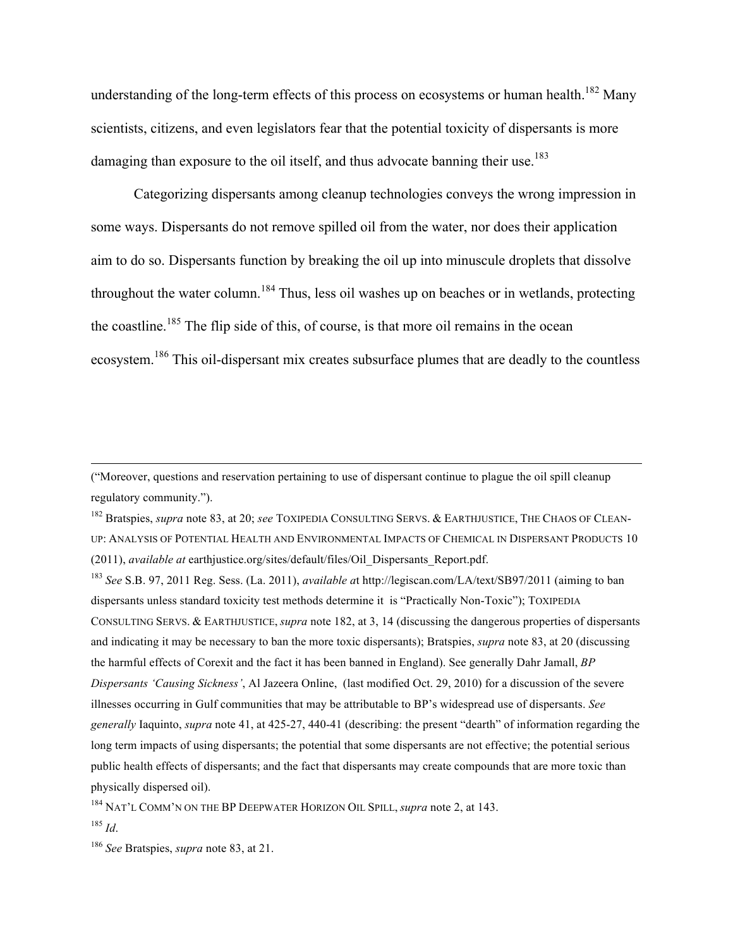understanding of the long-term effects of this process on ecosystems or human health.<sup>182</sup> Many scientists, citizens, and even legislators fear that the potential toxicity of dispersants is more damaging than exposure to the oil itself, and thus advocate banning their use.<sup>183</sup>

Categorizing dispersants among cleanup technologies conveys the wrong impression in some ways. Dispersants do not remove spilled oil from the water, nor does their application aim to do so. Dispersants function by breaking the oil up into minuscule droplets that dissolve throughout the water column.<sup>184</sup> Thus, less oil washes up on beaches or in wetlands, protecting the coastline.<sup>185</sup> The flip side of this, of course, is that more oil remains in the ocean ecosystem.<sup>186</sup> This oil-dispersant mix creates subsurface plumes that are deadly to the countless

("Moreover, questions and reservation pertaining to use of dispersant continue to plague the oil spill cleanup regulatory community.").

<sup>182</sup> Bratspies, *supra* note 83, at 20; *see* TOXIPEDIA CONSULTING SERVS. & EARTHJUSTICE, THE CHAOS OF CLEAN-UP: ANALYSIS OF POTENTIAL HEALTH AND ENVIRONMENTAL IMPACTS OF CHEMICAL IN DISPERSANT PRODUCTS 10 (2011), *available at* earthjustice.org/sites/default/files/Oil\_Dispersants\_Report.pdf.

<u> 1989 - Andrea San Andrea San Andrea San Andrea San Andrea San Andrea San Andrea San Andrea San Andrea San An</u>

<sup>183</sup> *See* S.B. 97, 2011 Reg. Sess. (La. 2011), *available a*t http://legiscan.com/LA/text/SB97/2011 (aiming to ban dispersants unless standard toxicity test methods determine it is "Practically Non-Toxic"); TOXIPEDIA CONSULTING SERVS. & EARTHJUSTICE, *supra* note 182, at 3, 14 (discussing the dangerous properties of dispersants and indicating it may be necessary to ban the more toxic dispersants); Bratspies, *supra* note 83, at 20 (discussing the harmful effects of Corexit and the fact it has been banned in England). See generally Dahr Jamall, *BP Dispersants 'Causing Sickness'*, Al Jazeera Online, (last modified Oct. 29, 2010) for a discussion of the severe illnesses occurring in Gulf communities that may be attributable to BP's widespread use of dispersants. *See generally* Iaquinto, *supra* note 41, at 425-27, 440-41 (describing: the present "dearth" of information regarding the long term impacts of using dispersants; the potential that some dispersants are not effective; the potential serious public health effects of dispersants; and the fact that dispersants may create compounds that are more toxic than physically dispersed oil).

<sup>184</sup> NAT'L COMM'N ON THE BP DEEPWATER HORIZON OIL SPILL, *supra* note 2, at 143.

<sup>185</sup> *Id*.

<sup>186</sup> *See* Bratspies, *supra* note 83, at 21.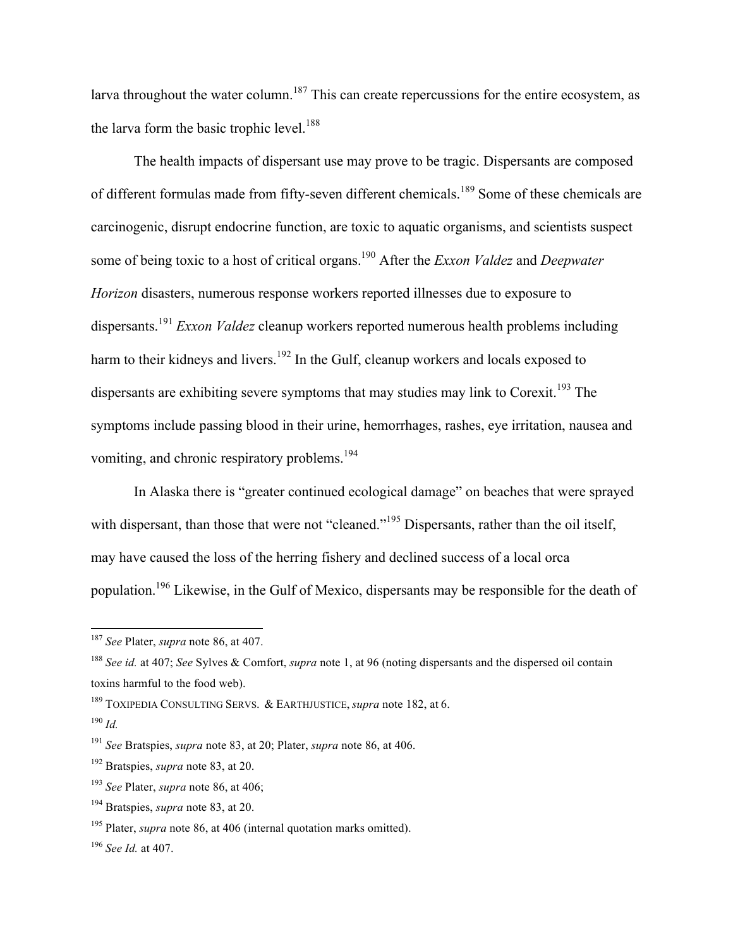larva throughout the water column.<sup>187</sup> This can create repercussions for the entire ecosystem, as the larva form the basic trophic level. $188$ 

The health impacts of dispersant use may prove to be tragic. Dispersants are composed of different formulas made from fifty-seven different chemicals.<sup>189</sup> Some of these chemicals are carcinogenic, disrupt endocrine function, are toxic to aquatic organisms, and scientists suspect some of being toxic to a host of critical organs.190 After the *Exxon Valdez* and *Deepwater Horizon* disasters, numerous response workers reported illnesses due to exposure to dispersants.<sup>191</sup> *Exxon Valdez* cleanup workers reported numerous health problems including harm to their kidneys and livers.<sup>192</sup> In the Gulf, cleanup workers and locals exposed to dispersants are exhibiting severe symptoms that may studies may link to Corexit.<sup>193</sup> The symptoms include passing blood in their urine, hemorrhages, rashes, eye irritation, nausea and vomiting, and chronic respiratory problems.<sup>194</sup>

In Alaska there is "greater continued ecological damage" on beaches that were sprayed with dispersant, than those that were not "cleaned."<sup>195</sup> Dispersants, rather than the oil itself, may have caused the loss of the herring fishery and declined success of a local orca population.196 Likewise, in the Gulf of Mexico, dispersants may be responsible for the death of

 <sup>187</sup> *See* Plater, *supra* note 86, at 407.

<sup>188</sup> *See id.* at 407; *See* Sylves & Comfort, *supra* note 1, at 96 (noting dispersants and the dispersed oil contain toxins harmful to the food web).

<sup>189</sup> TOXIPEDIA CONSULTING SERVS. & EARTHJUSTICE, *supra* note 182, at 6.

<sup>190</sup> *Id.*

<sup>191</sup> *See* Bratspies, *supra* note 83, at 20; Plater, *supra* note 86, at 406.

<sup>192</sup> Bratspies, *supra* note 83, at 20.

<sup>193</sup> *See* Plater, *supra* note 86, at 406;

<sup>194</sup> Bratspies, *supra* note 83, at 20.

<sup>195</sup> Plater, *supra* note 86, at 406 (internal quotation marks omitted).

<sup>196</sup> *See Id.* at 407.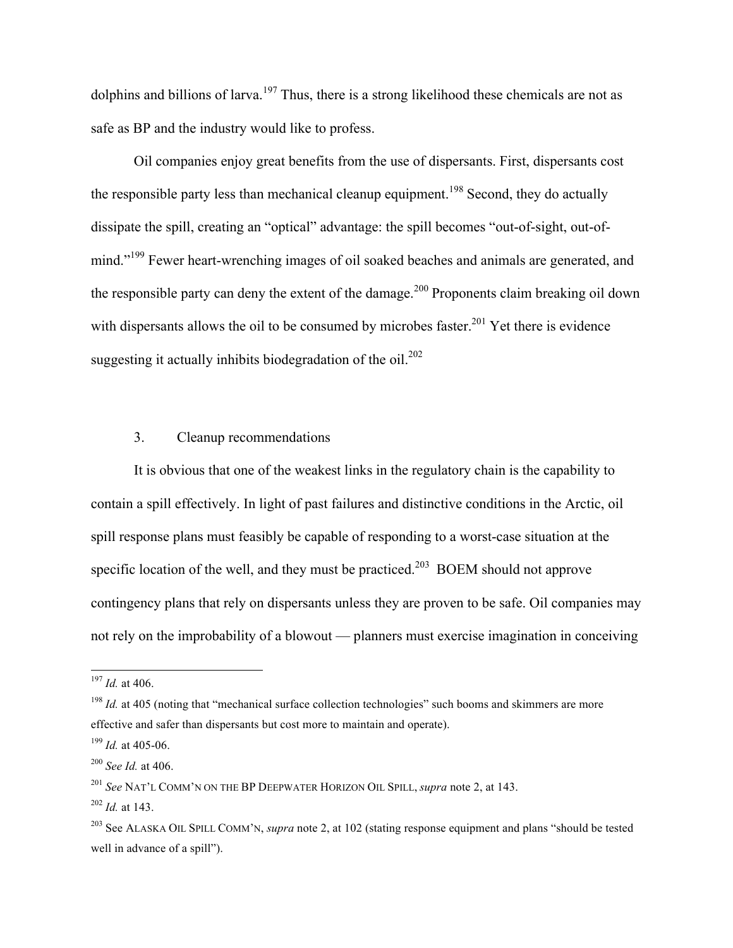dolphins and billions of larva.<sup>197</sup> Thus, there is a strong likelihood these chemicals are not as safe as BP and the industry would like to profess.

Oil companies enjoy great benefits from the use of dispersants. First, dispersants cost the responsible party less than mechanical cleanup equipment.<sup>198</sup> Second, they do actually dissipate the spill, creating an "optical" advantage: the spill becomes "out-of-sight, out-ofmind."<sup>199</sup> Fewer heart-wrenching images of oil soaked beaches and animals are generated, and the responsible party can deny the extent of the damage.<sup>200</sup> Proponents claim breaking oil down with dispersants allows the oil to be consumed by microbes faster.<sup>201</sup> Yet there is evidence suggesting it actually inhibits biodegradation of the  $oil$ .<sup>202</sup>

## 3. Cleanup recommendations

It is obvious that one of the weakest links in the regulatory chain is the capability to contain a spill effectively. In light of past failures and distinctive conditions in the Arctic, oil spill response plans must feasibly be capable of responding to a worst-case situation at the specific location of the well, and they must be practiced.<sup>203</sup> BOEM should not approve contingency plans that rely on dispersants unless they are proven to be safe. Oil companies may not rely on the improbability of a blowout — planners must exercise imagination in conceiving

 <sup>197</sup> *Id.* at 406.

<sup>&</sup>lt;sup>198</sup> *Id.* at 405 (noting that "mechanical surface collection technologies" such booms and skimmers are more effective and safer than dispersants but cost more to maintain and operate).

<sup>199</sup> *Id.* at 405-06.

<sup>200</sup> *See Id.* at 406.

<sup>201</sup> *See* NAT'L COMM'N ON THE BP DEEPWATER HORIZON OIL SPILL, *supra* note 2, at 143.

<sup>202</sup> *Id.* at 143.

<sup>203</sup> See ALASKA OIL SPILL COMM'N, *supra* note 2, at 102 (stating response equipment and plans "should be tested well in advance of a spill").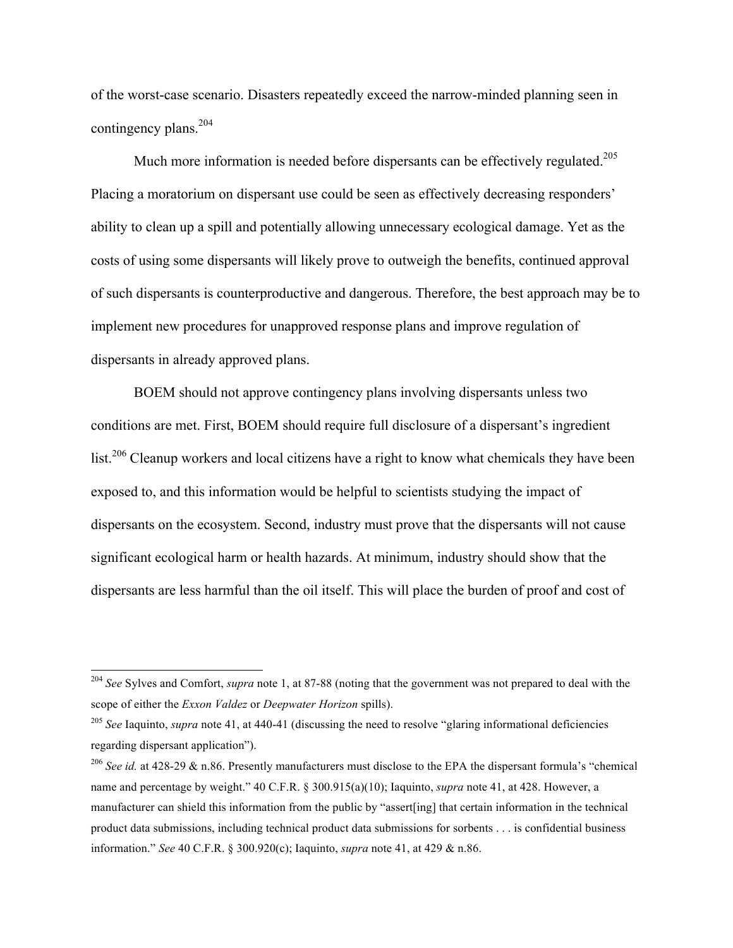of the worst-case scenario. Disasters repeatedly exceed the narrow-minded planning seen in contingency plans.<sup>204</sup>

Much more information is needed before dispersants can be effectively regulated.<sup>205</sup> Placing a moratorium on dispersant use could be seen as effectively decreasing responders' ability to clean up a spill and potentially allowing unnecessary ecological damage. Yet as the costs of using some dispersants will likely prove to outweigh the benefits, continued approval of such dispersants is counterproductive and dangerous. Therefore, the best approach may be to implement new procedures for unapproved response plans and improve regulation of dispersants in already approved plans.

BOEM should not approve contingency plans involving dispersants unless two conditions are met. First, BOEM should require full disclosure of a dispersant's ingredient list.<sup>206</sup> Cleanup workers and local citizens have a right to know what chemicals they have been exposed to, and this information would be helpful to scientists studying the impact of dispersants on the ecosystem. Second, industry must prove that the dispersants will not cause significant ecological harm or health hazards. At minimum, industry should show that the dispersants are less harmful than the oil itself. This will place the burden of proof and cost of

 <sup>204</sup> *See* Sylves and Comfort, *supra* note 1, at 87-88 (noting that the government was not prepared to deal with the scope of either the *Exxon Valdez* or *Deepwater Horizon* spills).

<sup>&</sup>lt;sup>205</sup> *See* Iaquinto, *supra* note 41, at 440-41 (discussing the need to resolve "glaring informational deficiencies regarding dispersant application").

<sup>206</sup> *See id.* at 428-29 & n.86. Presently manufacturers must disclose to the EPA the dispersant formula's "chemical name and percentage by weight." 40 C.F.R. § 300.915(a)(10); Iaquinto, *supra* note 41, at 428. However, a manufacturer can shield this information from the public by "assert[ing] that certain information in the technical product data submissions, including technical product data submissions for sorbents . . . is confidential business information." *See* 40 C.F.R. § 300.920(c); Iaquinto, *supra* note 41, at 429 & n.86.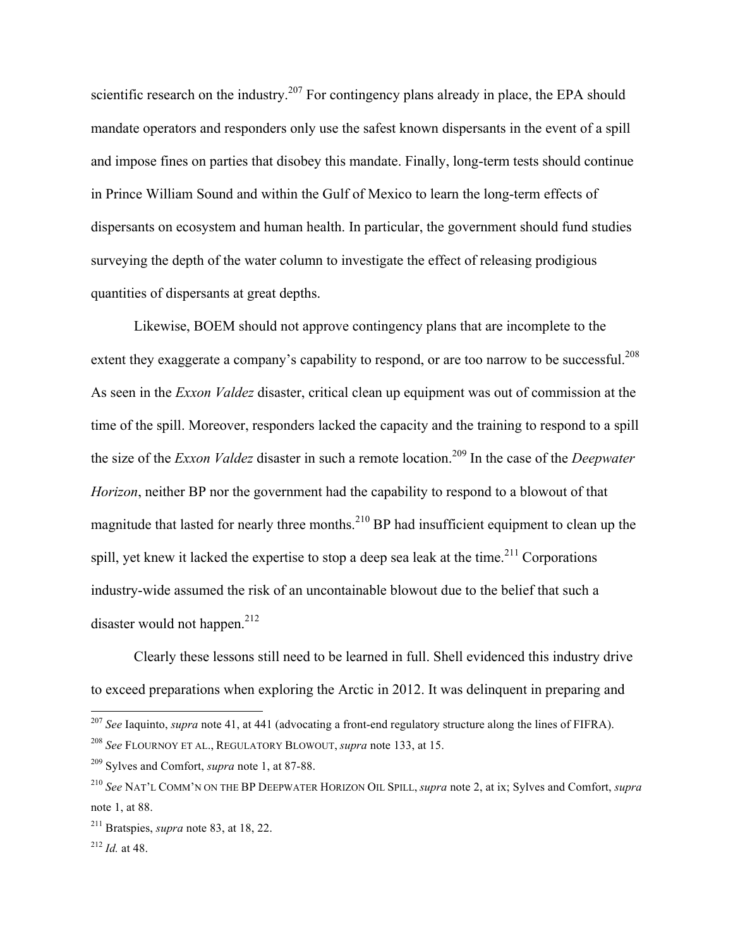scientific research on the industry.<sup>207</sup> For contingency plans already in place, the EPA should mandate operators and responders only use the safest known dispersants in the event of a spill and impose fines on parties that disobey this mandate. Finally, long-term tests should continue in Prince William Sound and within the Gulf of Mexico to learn the long-term effects of dispersants on ecosystem and human health. In particular, the government should fund studies surveying the depth of the water column to investigate the effect of releasing prodigious quantities of dispersants at great depths.

Likewise, BOEM should not approve contingency plans that are incomplete to the extent they exaggerate a company's capability to respond, or are too narrow to be successful.<sup>208</sup> As seen in the *Exxon Valdez* disaster, critical clean up equipment was out of commission at the time of the spill. Moreover, responders lacked the capacity and the training to respond to a spill the size of the *Exxon Valdez* disaster in such a remote location.<sup>209</sup> In the case of the *Deepwater Horizon*, neither BP nor the government had the capability to respond to a blowout of that magnitude that lasted for nearly three months.<sup>210</sup> BP had insufficient equipment to clean up the spill, yet knew it lacked the expertise to stop a deep sea leak at the time.<sup>211</sup> Corporations industry-wide assumed the risk of an uncontainable blowout due to the belief that such a disaster would not happen. $212$ 

Clearly these lessons still need to be learned in full. Shell evidenced this industry drive to exceed preparations when exploring the Arctic in 2012. It was delinquent in preparing and

 <sup>207</sup> *See* Iaquinto, *supra* note 41, at 441 (advocating a front-end regulatory structure along the lines of FIFRA).

<sup>208</sup> *See* FLOURNOY ET AL., REGULATORY BLOWOUT, *supra* note 133, at 15.

<sup>209</sup> Sylves and Comfort, *supra* note 1, at 87-88.

<sup>210</sup> *See* NAT'L COMM'N ON THE BP DEEPWATER HORIZON OIL SPILL, *supra* note 2, at ix; Sylves and Comfort, *supra* note 1, at 88.

<sup>211</sup> Bratspies, *supra* note 83, at 18, 22.

<sup>212</sup> *Id.* at 48.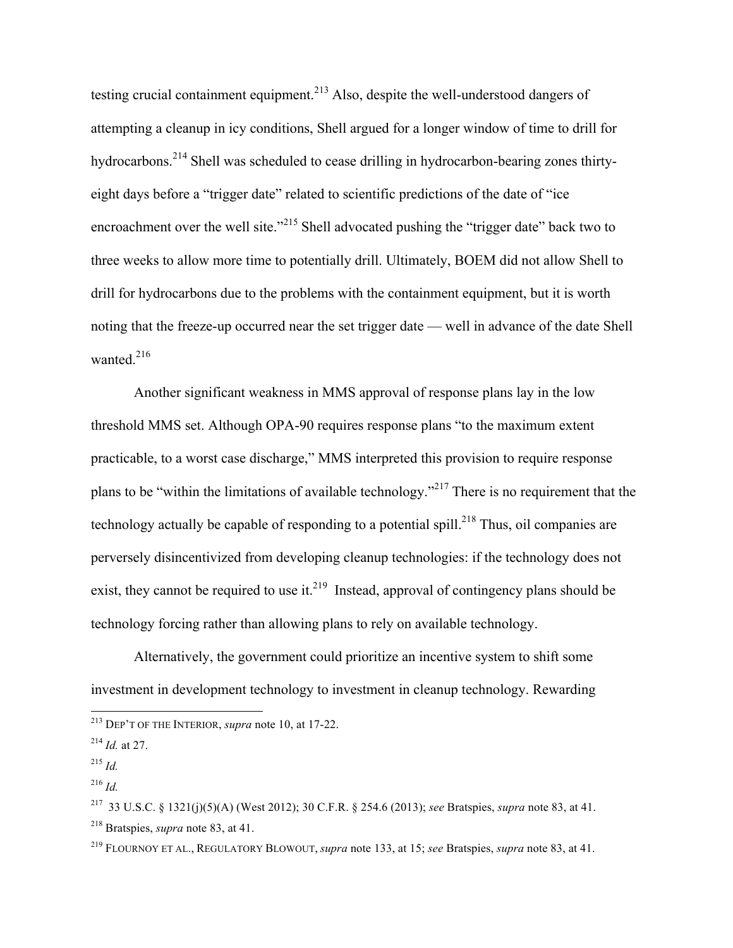testing crucial containment equipment.<sup>213</sup> Also, despite the well-understood dangers of attempting a cleanup in icy conditions, Shell argued for a longer window of time to drill for hydrocarbons.<sup>214</sup> Shell was scheduled to cease drilling in hydrocarbon-bearing zones thirtyeight days before a "trigger date" related to scientific predictions of the date of "ice encroachment over the well site."<sup>215</sup> Shell advocated pushing the "trigger date" back two to three weeks to allow more time to potentially drill. Ultimately, BOEM did not allow Shell to drill for hydrocarbons due to the problems with the containment equipment, but it is worth noting that the freeze-up occurred near the set trigger date — well in advance of the date Shell wanted. $216$ 

Another significant weakness in MMS approval of response plans lay in the low threshold MMS set. Although OPA-90 requires response plans "to the maximum extent practicable, to a worst case discharge," MMS interpreted this provision to require response plans to be "within the limitations of available technology."<sup>217</sup> There is no requirement that the technology actually be capable of responding to a potential spill.<sup>218</sup> Thus, oil companies are perversely disincentivized from developing cleanup technologies: if the technology does not exist, they cannot be required to use it.<sup>219</sup> Instead, approval of contingency plans should be technology forcing rather than allowing plans to rely on available technology.

Alternatively, the government could prioritize an incentive system to shift some investment in development technology to investment in cleanup technology. Rewarding

 <sup>213</sup> DEP'T OF THE INTERIOR, *supra* note 10, at 17-22.

<sup>214</sup> *Id.* at 27.

<sup>215</sup> *Id.*

<sup>216</sup> *Id.*

<sup>217</sup> 33 U.S.C. § 1321(j)(5)(A) (West 2012); 30 C.F.R. § 254.6 (2013); *see* Bratspies, *supra* note 83, at 41. <sup>218</sup> Bratspies, *supra* note 83, at 41.

<sup>219</sup> FLOURNOY ET AL., REGULATORY BLOWOUT, *supra* note 133, at 15; *see* Bratspies, *supra* note 83, at 41.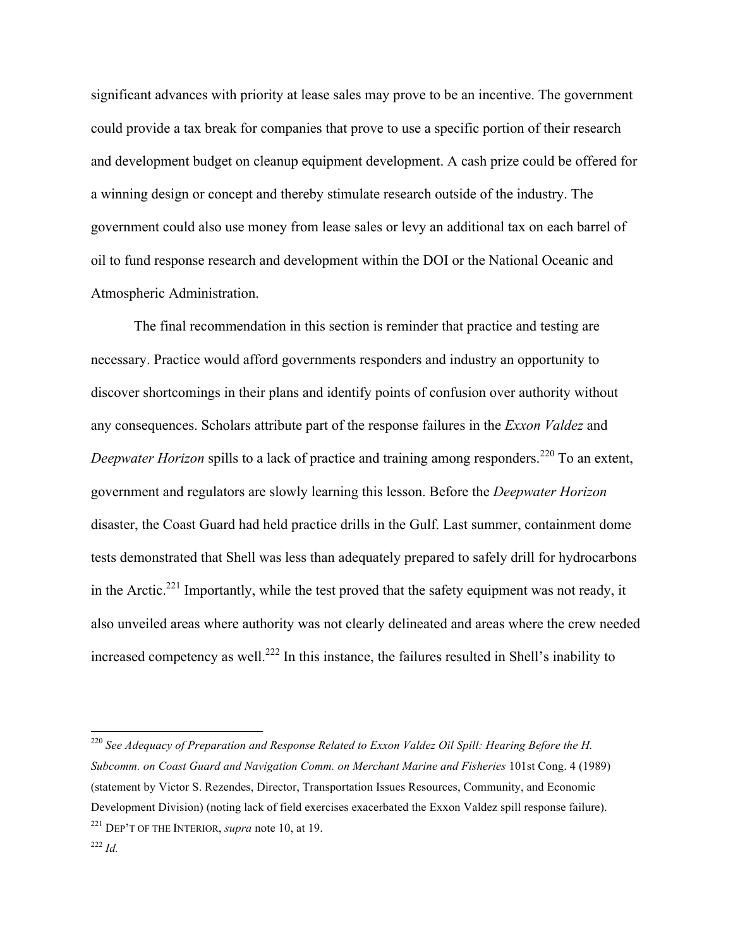significant advances with priority at lease sales may prove to be an incentive. The government could provide a tax break for companies that prove to use a specific portion of their research and development budget on cleanup equipment development. A cash prize could be offered for a winning design or concept and thereby stimulate research outside of the industry. The government could also use money from lease sales or levy an additional tax on each barrel of oil to fund response research and development within the DOI or the National Oceanic and Atmospheric Administration.

The final recommendation in this section is reminder that practice and testing are necessary. Practice would afford governments responders and industry an opportunity to discover shortcomings in their plans and identify points of confusion over authority without any consequences. Scholars attribute part of the response failures in the *Exxon Valdez* and *Deepwater Horizon* spills to a lack of practice and training among responders.<sup>220</sup> To an extent, government and regulators are slowly learning this lesson. Before the *Deepwater Horizon* disaster, the Coast Guard had held practice drills in the Gulf. Last summer, containment dome tests demonstrated that Shell was less than adequately prepared to safely drill for hydrocarbons in the Arctic.<sup>221</sup> Importantly, while the test proved that the safety equipment was not ready, it also unveiled areas where authority was not clearly delineated and areas where the crew needed increased competency as well.<sup>222</sup> In this instance, the failures resulted in Shell's inability to

 <sup>220</sup> *See Adequacy of Preparation and Response Related to Exxon Valdez Oil Spill: Hearing Before the H. Subcomm. on Coast Guard and Navigation Comm. on Merchant Marine and Fisheries* 101st Cong. 4 (1989) (statement by Victor S. Rezendes, Director, Transportation Issues Resources, Community, and Economic Development Division) (noting lack of field exercises exacerbated the Exxon Valdez spill response failure). <sup>221</sup> DEP'T OF THE INTERIOR, *supra* note 10, at 19.

<sup>222</sup> *Id.*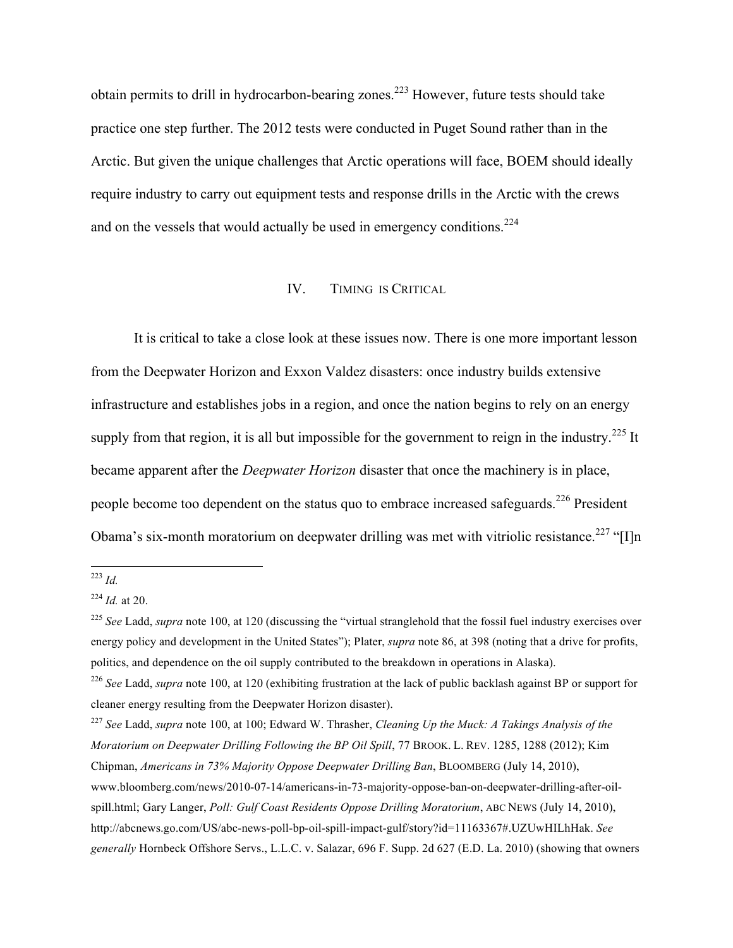obtain permits to drill in hydrocarbon-bearing zones.<sup>223</sup> However, future tests should take practice one step further. The 2012 tests were conducted in Puget Sound rather than in the Arctic. But given the unique challenges that Arctic operations will face, BOEM should ideally require industry to carry out equipment tests and response drills in the Arctic with the crews and on the vessels that would actually be used in emergency conditions. $2^{24}$ 

#### IV. TIMING IS CRITICAL

It is critical to take a close look at these issues now. There is one more important lesson from the Deepwater Horizon and Exxon Valdez disasters: once industry builds extensive infrastructure and establishes jobs in a region, and once the nation begins to rely on an energy supply from that region, it is all but impossible for the government to reign in the industry.<sup>225</sup> It became apparent after the *Deepwater Horizon* disaster that once the machinery is in place, people become too dependent on the status quo to embrace increased safeguards.<sup>226</sup> President Obama's six-month moratorium on deepwater drilling was met with vitriolic resistance.<sup>227</sup> "[I]n

 <sup>223</sup> *Id.*

<sup>224</sup> *Id.* at 20.

<sup>&</sup>lt;sup>225</sup> See Ladd, *supra* note 100, at 120 (discussing the "virtual stranglehold that the fossil fuel industry exercises over energy policy and development in the United States"); Plater, *supra* note 86, at 398 (noting that a drive for profits, politics, and dependence on the oil supply contributed to the breakdown in operations in Alaska).

<sup>226</sup> *See* Ladd, *supra* note 100, at 120 (exhibiting frustration at the lack of public backlash against BP or support for cleaner energy resulting from the Deepwater Horizon disaster).

<sup>227</sup> *See* Ladd, *supra* note 100, at 100; Edward W. Thrasher, *Cleaning Up the Muck: A Takings Analysis of the Moratorium on Deepwater Drilling Following the BP Oil Spill*, 77 BROOK. L. REV. 1285, 1288 (2012); Kim Chipman, *Americans in 73% Majority Oppose Deepwater Drilling Ban*, BLOOMBERG (July 14, 2010), www.bloomberg.com/news/2010-07-14/americans-in-73-majority-oppose-ban-on-deepwater-drilling-after-oilspill.html; Gary Langer, *Poll: Gulf Coast Residents Oppose Drilling Moratorium*, ABC NEWS (July 14, 2010), http://abcnews.go.com/US/abc-news-poll-bp-oil-spill-impact-gulf/story?id=11163367#.UZUwHILhHak. *See generally* Hornbeck Offshore Servs., L.L.C. v. Salazar, 696 F. Supp. 2d 627 (E.D. La. 2010) (showing that owners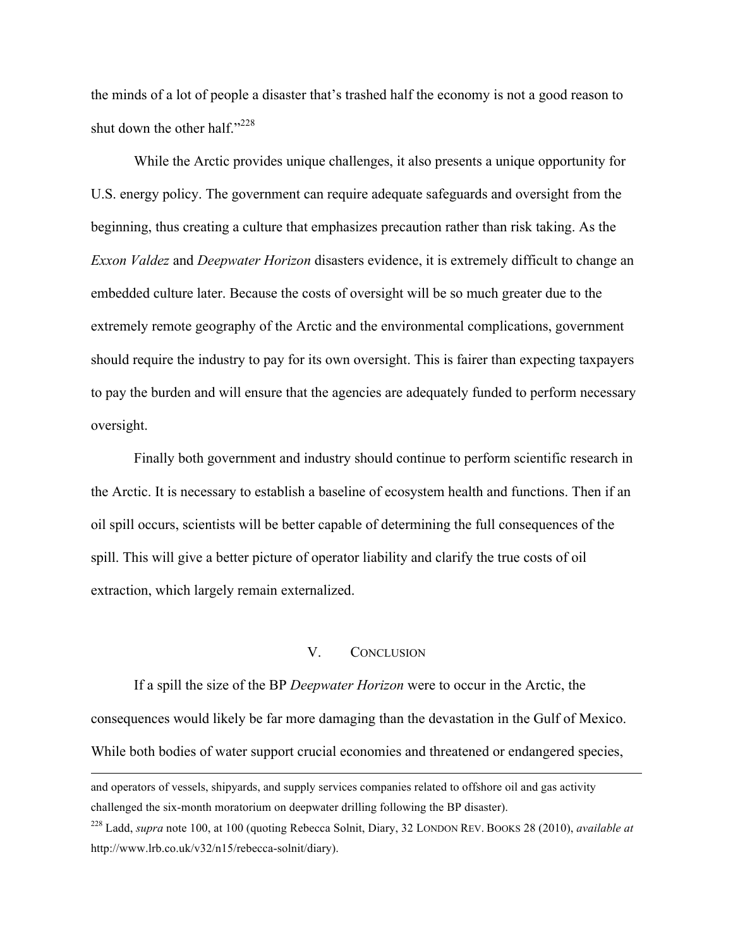the minds of a lot of people a disaster that's trashed half the economy is not a good reason to shut down the other half." $^{228}$ 

While the Arctic provides unique challenges, it also presents a unique opportunity for U.S. energy policy. The government can require adequate safeguards and oversight from the beginning, thus creating a culture that emphasizes precaution rather than risk taking. As the *Exxon Valdez* and *Deepwater Horizon* disasters evidence, it is extremely difficult to change an embedded culture later. Because the costs of oversight will be so much greater due to the extremely remote geography of the Arctic and the environmental complications, government should require the industry to pay for its own oversight. This is fairer than expecting taxpayers to pay the burden and will ensure that the agencies are adequately funded to perform necessary oversight.

Finally both government and industry should continue to perform scientific research in the Arctic. It is necessary to establish a baseline of ecosystem health and functions. Then if an oil spill occurs, scientists will be better capable of determining the full consequences of the spill. This will give a better picture of operator liability and clarify the true costs of oil extraction, which largely remain externalized.

## V. CONCLUSION

If a spill the size of the BP *Deepwater Horizon* were to occur in the Arctic, the consequences would likely be far more damaging than the devastation in the Gulf of Mexico. While both bodies of water support crucial economies and threatened or endangered species,

<u> 1989 - Andrea San Andrea San Andrea San Andrea San Andrea San Andrea San Andrea San Andrea San Andrea San An</u>

and operators of vessels, shipyards, and supply services companies related to offshore oil and gas activity challenged the six-month moratorium on deepwater drilling following the BP disaster).

<sup>228</sup> Ladd, *supra* note 100, at 100 (quoting Rebecca Solnit, Diary, 32 LONDON REV. BOOKS 28 (2010), *available at* http://www.lrb.co.uk/v32/n15/rebecca-solnit/diary).